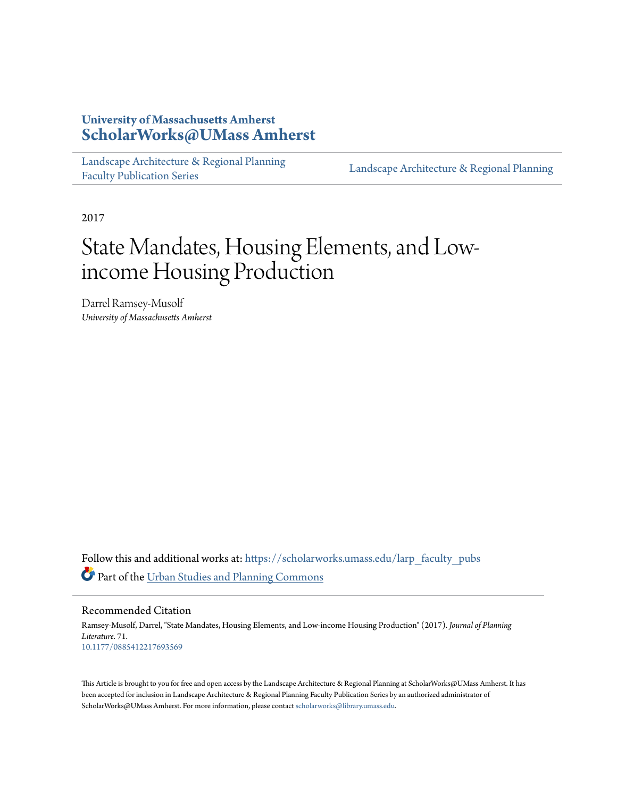# **University of Massachusetts Amherst [ScholarWorks@UMass Amherst](https://scholarworks.umass.edu?utm_source=scholarworks.umass.edu%2Flarp_faculty_pubs%2F71&utm_medium=PDF&utm_campaign=PDFCoverPages)**

[Landscape Architecture & Regional Planning](https://scholarworks.umass.edu/larp_faculty_pubs?utm_source=scholarworks.umass.edu%2Flarp_faculty_pubs%2F71&utm_medium=PDF&utm_campaign=PDFCoverPages) [Faculty Publication Series](https://scholarworks.umass.edu/larp_faculty_pubs?utm_source=scholarworks.umass.edu%2Flarp_faculty_pubs%2F71&utm_medium=PDF&utm_campaign=PDFCoverPages)

[Landscape Architecture & Regional Planning](https://scholarworks.umass.edu/larp?utm_source=scholarworks.umass.edu%2Flarp_faculty_pubs%2F71&utm_medium=PDF&utm_campaign=PDFCoverPages)

2017

# State Mandates, Housing Elements, and Lowincome Housing Production

Darrel Ramsey-Musolf *University of Massachusetts Amherst*

Follow this and additional works at: [https://scholarworks.umass.edu/larp\\_faculty\\_pubs](https://scholarworks.umass.edu/larp_faculty_pubs?utm_source=scholarworks.umass.edu%2Flarp_faculty_pubs%2F71&utm_medium=PDF&utm_campaign=PDFCoverPages) Part of the [Urban Studies and Planning Commons](http://network.bepress.com/hgg/discipline/436?utm_source=scholarworks.umass.edu%2Flarp_faculty_pubs%2F71&utm_medium=PDF&utm_campaign=PDFCoverPages)

Recommended Citation

Ramsey-Musolf, Darrel, "State Mandates, Housing Elements, and Low-income Housing Production" (2017). *Journal of Planning Literature*. 71. <10.1177/0885412217693569>

This Article is brought to you for free and open access by the Landscape Architecture & Regional Planning at ScholarWorks@UMass Amherst. It has been accepted for inclusion in Landscape Architecture & Regional Planning Faculty Publication Series by an authorized administrator of ScholarWorks@UMass Amherst. For more information, please contact [scholarworks@library.umass.edu.](mailto:scholarworks@library.umass.edu)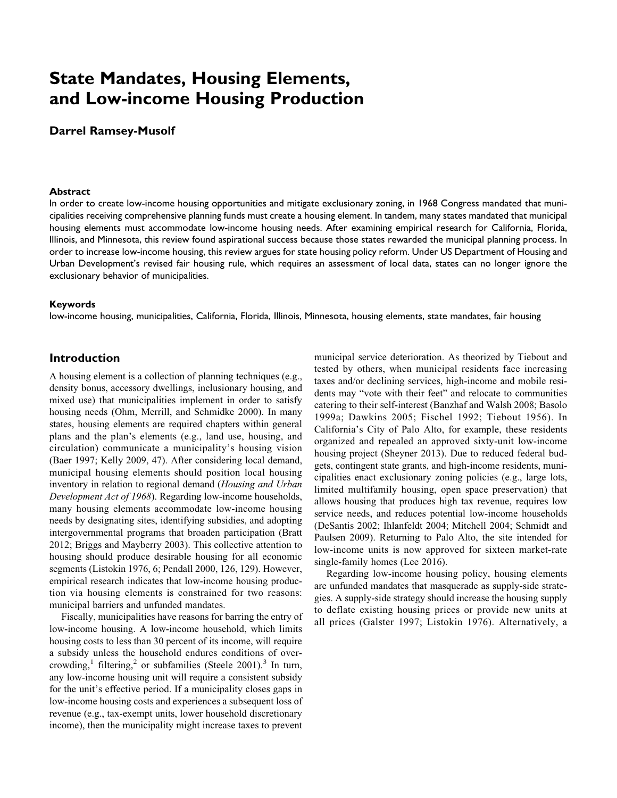# State Mandates, Housing Elements, and Low-income Housing Production

Darrel Ramsey-Musolf

#### Abstract

In order to create low-income housing opportunities and mitigate exclusionary zoning, in 1968 Congress mandated that municipalities receiving comprehensive planning funds must create a housing element. In tandem, many states mandated that municipal housing elements must accommodate low-income housing needs. After examining empirical research for California, Florida, Illinois, and Minnesota, this review found aspirational success because those states rewarded the municipal planning process. In order to increase low-income housing, this review argues for state housing policy reform. Under US Department of Housing and Urban Development's revised fair housing rule, which requires an assessment of local data, states can no longer ignore the exclusionary behavior of municipalities.

#### Keywords

low-income housing, municipalities, California, Florida, Illinois, Minnesota, housing elements, state mandates, fair housing

#### Introduction

A housing element is a collection of planning techniques (e.g., density bonus, accessory dwellings, inclusionary housing, and mixed use) that municipalities implement in order to satisfy housing needs (Ohm, Merrill, and Schmidke 2000). In many states, housing elements are required chapters within general plans and the plan's elements (e.g., land use, housing, and circulation) communicate a municipality's housing vision (Baer 1997; Kelly 2009, 47). After considering local demand, municipal housing elements should position local housing inventory in relation to regional demand (Housing and Urban Development Act of 1968). Regarding low-income households, many housing elements accommodate low-income housing needs by designating sites, identifying subsidies, and adopting intergovernmental programs that broaden participation (Bratt 2012; Briggs and Mayberry 2003). This collective attention to housing should produce desirable housing for all economic segments (Listokin 1976, 6; Pendall 2000, 126, 129). However, empirical research indicates that low-income housing production via housing elements is constrained for two reasons: municipal barriers and unfunded mandates.

Fiscally, municipalities have reasons for barring the entry of low-income housing. A low-income household, which limits housing costs to less than 30 percent of its income, will require a subsidy unless the household endures conditions of overcrowding,<sup>1</sup> filtering,<sup>2</sup> or subfamilies (Steele 2001).<sup>3</sup> In turn, any low-income housing unit will require a consistent subsidy for the unit's effective period. If a municipality closes gaps in low-income housing costs and experiences a subsequent loss of revenue (e.g., tax-exempt units, lower household discretionary income), then the municipality might increase taxes to prevent

municipal service deterioration. As theorized by Tiebout and tested by others, when municipal residents face increasing taxes and/or declining services, high-income and mobile residents may "vote with their feet" and relocate to communities catering to their self-interest (Banzhaf and Walsh 2008; Basolo 1999a; Dawkins 2005; Fischel 1992; Tiebout 1956). In California's City of Palo Alto, for example, these residents organized and repealed an approved sixty-unit low-income housing project (Sheyner 2013). Due to reduced federal budgets, contingent state grants, and high-income residents, municipalities enact exclusionary zoning policies (e.g., large lots, limited multifamily housing, open space preservation) that allows housing that produces high tax revenue, requires low service needs, and reduces potential low-income households (DeSantis 2002; Ihlanfeldt 2004; Mitchell 2004; Schmidt and Paulsen 2009). Returning to Palo Alto, the site intended for low-income units is now approved for sixteen market-rate single-family homes (Lee 2016).

Regarding low-income housing policy, housing elements are unfunded mandates that masquerade as supply-side strategies. A supply-side strategy should increase the housing supply to deflate existing housing prices or provide new units at all prices (Galster 1997; Listokin 1976). Alternatively, a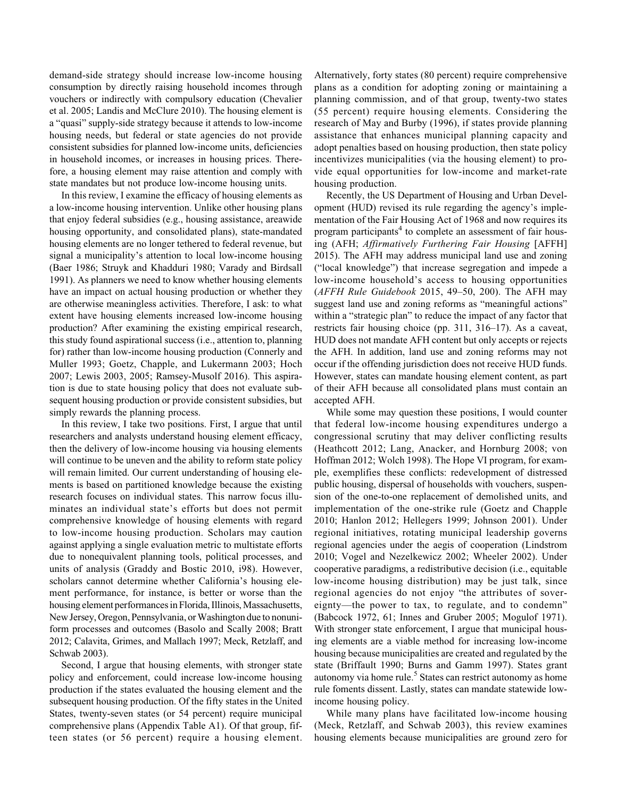demand-side strategy should increase low-income housing consumption by directly raising household incomes through vouchers or indirectly with compulsory education (Chevalier et al. 2005; Landis and McClure 2010). The housing element is a "quasi" supply-side strategy because it attends to low-income housing needs, but federal or state agencies do not provide consistent subsidies for planned low-income units, deficiencies in household incomes, or increases in housing prices. Therefore, a housing element may raise attention and comply with state mandates but not produce low-income housing units.

In this review, I examine the efficacy of housing elements as a low-income housing intervention. Unlike other housing plans that enjoy federal subsidies (e.g., housing assistance, areawide housing opportunity, and consolidated plans), state-mandated housing elements are no longer tethered to federal revenue, but signal a municipality's attention to local low-income housing (Baer 1986; Struyk and Khadduri 1980; Varady and Birdsall 1991). As planners we need to know whether housing elements have an impact on actual housing production or whether they are otherwise meaningless activities. Therefore, I ask: to what extent have housing elements increased low-income housing production? After examining the existing empirical research, this study found aspirational success (i.e., attention to, planning for) rather than low-income housing production (Connerly and Muller 1993; Goetz, Chapple, and Lukermann 2003; Hoch 2007; Lewis 2003, 2005; Ramsey-Musolf 2016). This aspiration is due to state housing policy that does not evaluate subsequent housing production or provide consistent subsidies, but simply rewards the planning process.

In this review, I take two positions. First, I argue that until researchers and analysts understand housing element efficacy, then the delivery of low-income housing via housing elements will continue to be uneven and the ability to reform state policy will remain limited. Our current understanding of housing elements is based on partitioned knowledge because the existing research focuses on individual states. This narrow focus illuminates an individual state's efforts but does not permit comprehensive knowledge of housing elements with regard to low-income housing production. Scholars may caution against applying a single evaluation metric to multistate efforts due to nonequivalent planning tools, political processes, and units of analysis (Graddy and Bostic 2010, i98). However, scholars cannot determine whether California's housing element performance, for instance, is better or worse than the housing element performances in Florida, Illinois, Massachusetts, New Jersey, Oregon, Pennsylvania, or Washington due to nonuniform processes and outcomes (Basolo and Scally 2008; Bratt 2012; Calavita, Grimes, and Mallach 1997; Meck, Retzlaff, and Schwab 2003).

Second, I argue that housing elements, with stronger state policy and enforcement, could increase low-income housing production if the states evaluated the housing element and the subsequent housing production. Of the fifty states in the United States, twenty-seven states (or 54 percent) require municipal comprehensive plans (Appendix Table A1). Of that group, fifteen states (or 56 percent) require a housing element.

Alternatively, forty states (80 percent) require comprehensive plans as a condition for adopting zoning or maintaining a planning commission, and of that group, twenty-two states (55 percent) require housing elements. Considering the research of May and Burby (1996), if states provide planning assistance that enhances municipal planning capacity and adopt penalties based on housing production, then state policy incentivizes municipalities (via the housing element) to provide equal opportunities for low-income and market-rate housing production.

Recently, the US Department of Housing and Urban Development (HUD) revised its rule regarding the agency's implementation of the Fair Housing Act of 1968 and now requires its program participants<sup>4</sup> to complete an assessment of fair housing (AFH; Affirmatively Furthering Fair Housing [AFFH] 2015). The AFH may address municipal land use and zoning ("local knowledge") that increase segregation and impede a low-income household's access to housing opportunities (AFFH Rule Guidebook 2015, 49–50, 200). The AFH may suggest land use and zoning reforms as "meaningful actions" within a "strategic plan" to reduce the impact of any factor that restricts fair housing choice (pp. 311, 316–17). As a caveat, HUD does not mandate AFH content but only accepts or rejects the AFH. In addition, land use and zoning reforms may not occur if the offending jurisdiction does not receive HUD funds. However, states can mandate housing element content, as part of their AFH because all consolidated plans must contain an accepted AFH.

While some may question these positions, I would counter that federal low-income housing expenditures undergo a congressional scrutiny that may deliver conflicting results (Heathcott 2012; Lang, Anacker, and Hornburg 2008; von Hoffman 2012; Wolch 1998). The Hope VI program, for example, exemplifies these conflicts: redevelopment of distressed public housing, dispersal of households with vouchers, suspension of the one-to-one replacement of demolished units, and implementation of the one-strike rule (Goetz and Chapple 2010; Hanlon 2012; Hellegers 1999; Johnson 2001). Under regional initiatives, rotating municipal leadership governs regional agencies under the aegis of cooperation (Lindstrom 2010; Vogel and Nezelkewicz 2002; Wheeler 2002). Under cooperative paradigms, a redistributive decision (i.e., equitable low-income housing distribution) may be just talk, since regional agencies do not enjoy "the attributes of sovereignty—the power to tax, to regulate, and to condemn" (Babcock 1972, 61; Innes and Gruber 2005; Mogulof 1971). With stronger state enforcement, I argue that municipal housing elements are a viable method for increasing low-income housing because municipalities are created and regulated by the state (Briffault 1990; Burns and Gamm 1997). States grant autonomy via home rule.<sup>5</sup> States can restrict autonomy as home rule foments dissent. Lastly, states can mandate statewide lowincome housing policy.

While many plans have facilitated low-income housing (Meck, Retzlaff, and Schwab 2003), this review examines housing elements because municipalities are ground zero for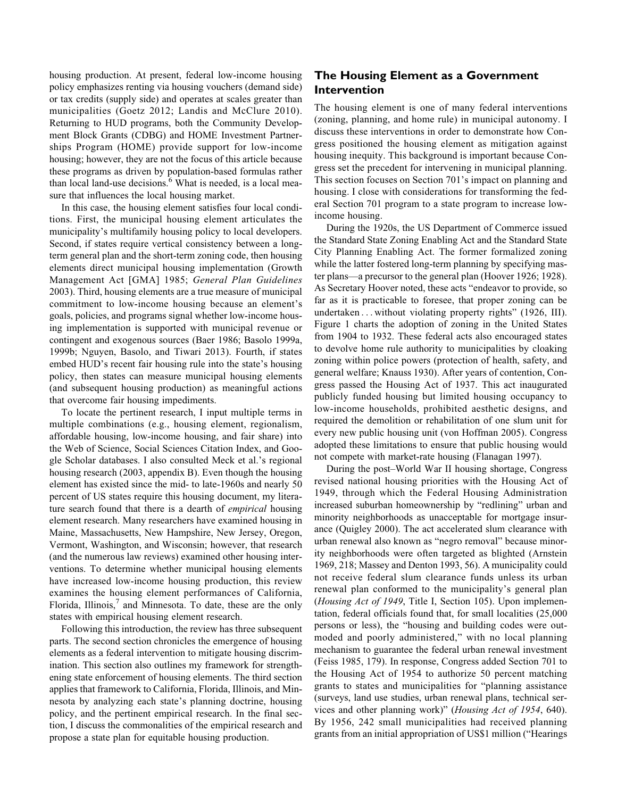housing production. At present, federal low-income housing policy emphasizes renting via housing vouchers (demand side) or tax credits (supply side) and operates at scales greater than municipalities (Goetz 2012; Landis and McClure 2010). Returning to HUD programs, both the Community Development Block Grants (CDBG) and HOME Investment Partnerships Program (HOME) provide support for low-income housing; however, they are not the focus of this article because these programs as driven by population-based formulas rather than local land-use decisions. $<sup>6</sup>$  What is needed, is a local mea-</sup> sure that influences the local housing market.

In this case, the housing element satisfies four local conditions. First, the municipal housing element articulates the municipality's multifamily housing policy to local developers. Second, if states require vertical consistency between a longterm general plan and the short-term zoning code, then housing elements direct municipal housing implementation (Growth Management Act [GMA] 1985; General Plan Guidelines 2003). Third, housing elements are a true measure of municipal commitment to low-income housing because an element's goals, policies, and programs signal whether low-income housing implementation is supported with municipal revenue or contingent and exogenous sources (Baer 1986; Basolo 1999a, 1999b; Nguyen, Basolo, and Tiwari 2013). Fourth, if states embed HUD's recent fair housing rule into the state's housing policy, then states can measure municipal housing elements (and subsequent housing production) as meaningful actions that overcome fair housing impediments.

To locate the pertinent research, I input multiple terms in multiple combinations (e.g., housing element, regionalism, affordable housing, low-income housing, and fair share) into the Web of Science, Social Sciences Citation Index, and Google Scholar databases. I also consulted Meck et al.'s regional housing research (2003, appendix B). Even though the housing element has existed since the mid- to late-1960s and nearly 50 percent of US states require this housing document, my literature search found that there is a dearth of *empirical* housing element research. Many researchers have examined housing in Maine, Massachusetts, New Hampshire, New Jersey, Oregon, Vermont, Washington, and Wisconsin; however, that research (and the numerous law reviews) examined other housing interventions. To determine whether municipal housing elements have increased low-income housing production, this review examines the housing element performances of California, Florida, Illinois, $^7$  and Minnesota. To date, these are the only states with empirical housing element research.

Following this introduction, the review has three subsequent parts. The second section chronicles the emergence of housing elements as a federal intervention to mitigate housing discrimination. This section also outlines my framework for strengthening state enforcement of housing elements. The third section applies that framework to California, Florida, Illinois, and Minnesota by analyzing each state's planning doctrine, housing policy, and the pertinent empirical research. In the final section, I discuss the commonalities of the empirical research and propose a state plan for equitable housing production.

# The Housing Element as a Government Intervention

The housing element is one of many federal interventions (zoning, planning, and home rule) in municipal autonomy. I discuss these interventions in order to demonstrate how Congress positioned the housing element as mitigation against housing inequity. This background is important because Congress set the precedent for intervening in municipal planning. This section focuses on Section 701's impact on planning and housing. I close with considerations for transforming the federal Section 701 program to a state program to increase lowincome housing.

During the 1920s, the US Department of Commerce issued the Standard State Zoning Enabling Act and the Standard State City Planning Enabling Act. The former formalized zoning while the latter fostered long-term planning by specifying master plans—a precursor to the general plan (Hoover 1926; 1928). As Secretary Hoover noted, these acts "endeavor to provide, so far as it is practicable to foresee, that proper zoning can be undertaken ... without violating property rights" (1926, III). Figure 1 charts the adoption of zoning in the United States from 1904 to 1932. These federal acts also encouraged states to devolve home rule authority to municipalities by cloaking zoning within police powers (protection of health, safety, and general welfare; Knauss 1930). After years of contention, Congress passed the Housing Act of 1937. This act inaugurated publicly funded housing but limited housing occupancy to low-income households, prohibited aesthetic designs, and required the demolition or rehabilitation of one slum unit for every new public housing unit (von Hoffman 2005). Congress adopted these limitations to ensure that public housing would not compete with market-rate housing (Flanagan 1997).

During the post–World War II housing shortage, Congress revised national housing priorities with the Housing Act of 1949, through which the Federal Housing Administration increased suburban homeownership by "redlining" urban and minority neighborhoods as unacceptable for mortgage insurance (Quigley 2000). The act accelerated slum clearance with urban renewal also known as "negro removal" because minority neighborhoods were often targeted as blighted (Arnstein 1969, 218; Massey and Denton 1993, 56). A municipality could not receive federal slum clearance funds unless its urban renewal plan conformed to the municipality's general plan (Housing Act of 1949, Title I, Section 105). Upon implementation, federal officials found that, for small localities (25,000 persons or less), the "housing and building codes were outmoded and poorly administered," with no local planning mechanism to guarantee the federal urban renewal investment (Feiss 1985, 179). In response, Congress added Section 701 to the Housing Act of 1954 to authorize 50 percent matching grants to states and municipalities for "planning assistance (surveys, land use studies, urban renewal plans, technical services and other planning work)" (Housing Act of 1954, 640). By 1956, 242 small municipalities had received planning grants from an initial appropriation of US\$1 million ("Hearings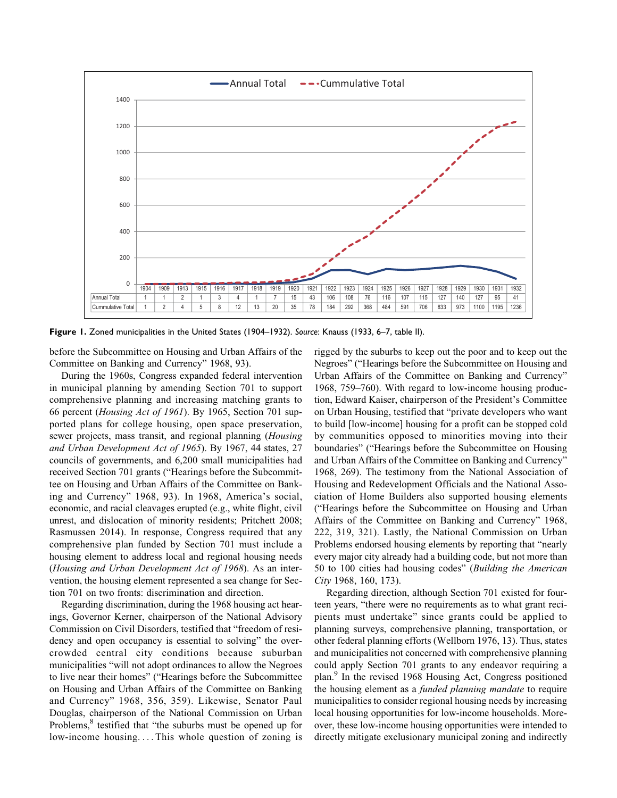

Figure 1. Zoned municipalities in the United States (1904–1932). Source: Knauss (1933, 6–7, table II).

before the Subcommittee on Housing and Urban Affairs of the Committee on Banking and Currency" 1968, 93).

During the 1960s, Congress expanded federal intervention in municipal planning by amending Section 701 to support comprehensive planning and increasing matching grants to 66 percent (Housing Act of 1961). By 1965, Section 701 supported plans for college housing, open space preservation, sewer projects, mass transit, and regional planning (Housing and Urban Development Act of 1965). By 1967, 44 states, 27 councils of governments, and 6,200 small municipalities had received Section 701 grants ("Hearings before the Subcommittee on Housing and Urban Affairs of the Committee on Banking and Currency" 1968, 93). In 1968, America's social, economic, and racial cleavages erupted (e.g., white flight, civil unrest, and dislocation of minority residents; Pritchett 2008; Rasmussen 2014). In response, Congress required that any comprehensive plan funded by Section 701 must include a housing element to address local and regional housing needs (Housing and Urban Development Act of 1968). As an intervention, the housing element represented a sea change for Section 701 on two fronts: discrimination and direction.

Regarding discrimination, during the 1968 housing act hearings, Governor Kerner, chairperson of the National Advisory Commission on Civil Disorders, testified that "freedom of residency and open occupancy is essential to solving" the overcrowded central city conditions because suburban municipalities "will not adopt ordinances to allow the Negroes to live near their homes" ("Hearings before the Subcommittee on Housing and Urban Affairs of the Committee on Banking and Currency" 1968, 356, 359). Likewise, Senator Paul Douglas, chairperson of the National Commission on Urban Problems,<sup>8</sup> testified that "the suburbs must be opened up for low-income housing. ... This whole question of zoning is rigged by the suburbs to keep out the poor and to keep out the Negroes" ("Hearings before the Subcommittee on Housing and Urban Affairs of the Committee on Banking and Currency" 1968, 759–760). With regard to low-income housing production, Edward Kaiser, chairperson of the President's Committee on Urban Housing, testified that "private developers who want to build [low-income] housing for a profit can be stopped cold by communities opposed to minorities moving into their boundaries" ("Hearings before the Subcommittee on Housing and Urban Affairs of the Committee on Banking and Currency" 1968, 269). The testimony from the National Association of Housing and Redevelopment Officials and the National Association of Home Builders also supported housing elements ("Hearings before the Subcommittee on Housing and Urban Affairs of the Committee on Banking and Currency" 1968, 222, 319, 321). Lastly, the National Commission on Urban Problems endorsed housing elements by reporting that "nearly every major city already had a building code, but not more than 50 to 100 cities had housing codes" (Building the American City 1968, 160, 173).

Regarding direction, although Section 701 existed for fourteen years, "there were no requirements as to what grant recipients must undertake" since grants could be applied to planning surveys, comprehensive planning, transportation, or other federal planning efforts (Wellborn 1976, 13). Thus, states and municipalities not concerned with comprehensive planning could apply Section 701 grants to any endeavor requiring a plan.<sup>9</sup> In the revised 1968 Housing Act, Congress positioned the housing element as a funded planning mandate to require municipalities to consider regional housing needs by increasing local housing opportunities for low-income households. Moreover, these low-income housing opportunities were intended to directly mitigate exclusionary municipal zoning and indirectly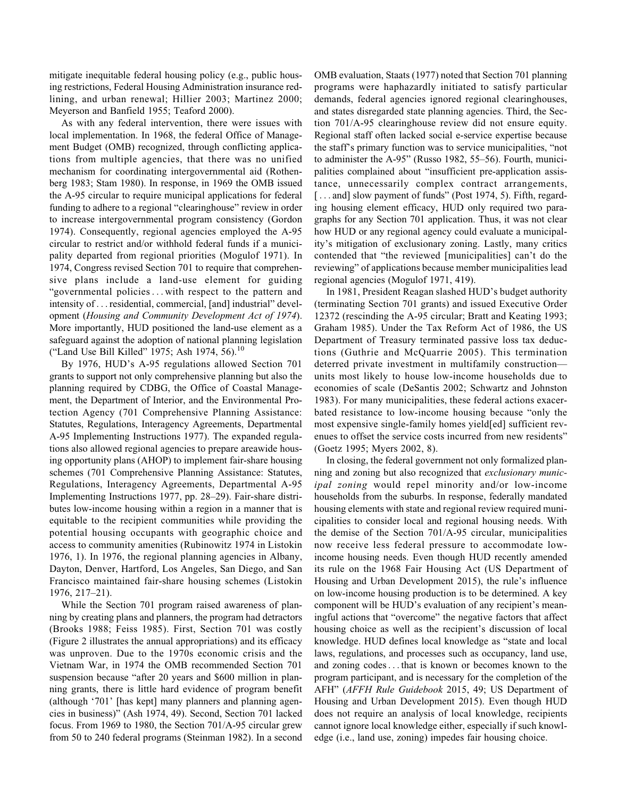mitigate inequitable federal housing policy (e.g., public housing restrictions, Federal Housing Administration insurance redlining, and urban renewal; Hillier 2003; Martinez 2000; Meyerson and Banfield 1955; Teaford 2000).

As with any federal intervention, there were issues with local implementation. In 1968, the federal Office of Management Budget (OMB) recognized, through conflicting applications from multiple agencies, that there was no unified mechanism for coordinating intergovernmental aid (Rothenberg 1983; Stam 1980). In response, in 1969 the OMB issued the A-95 circular to require municipal applications for federal funding to adhere to a regional "clearinghouse" review in order to increase intergovernmental program consistency (Gordon 1974). Consequently, regional agencies employed the A-95 circular to restrict and/or withhold federal funds if a municipality departed from regional priorities (Mogulof 1971). In 1974, Congress revised Section 701 to require that comprehensive plans include a land-use element for guiding "governmental policies... with respect to the pattern and intensity of ... residential, commercial, [and] industrial" development (Housing and Community Development Act of 1974). More importantly, HUD positioned the land-use element as a safeguard against the adoption of national planning legislation ("Land Use Bill Killed" 1975; Ash 1974, 56).<sup>10</sup>

By 1976, HUD's A-95 regulations allowed Section 701 grants to support not only comprehensive planning but also the planning required by CDBG, the Office of Coastal Management, the Department of Interior, and the Environmental Protection Agency (701 Comprehensive Planning Assistance: Statutes, Regulations, Interagency Agreements, Departmental A-95 Implementing Instructions 1977). The expanded regulations also allowed regional agencies to prepare areawide housing opportunity plans (AHOP) to implement fair-share housing schemes (701 Comprehensive Planning Assistance: Statutes, Regulations, Interagency Agreements, Departmental A-95 Implementing Instructions 1977, pp. 28–29). Fair-share distributes low-income housing within a region in a manner that is equitable to the recipient communities while providing the potential housing occupants with geographic choice and access to community amenities (Rubinowitz 1974 in Listokin 1976, 1). In 1976, the regional planning agencies in Albany, Dayton, Denver, Hartford, Los Angeles, San Diego, and San Francisco maintained fair-share housing schemes (Listokin 1976, 217–21).

While the Section 701 program raised awareness of planning by creating plans and planners, the program had detractors (Brooks 1988; Feiss 1985). First, Section 701 was costly (Figure 2 illustrates the annual appropriations) and its efficacy was unproven. Due to the 1970s economic crisis and the Vietnam War, in 1974 the OMB recommended Section 701 suspension because "after 20 years and \$600 million in planning grants, there is little hard evidence of program benefit (although '701' [has kept] many planners and planning agencies in business)" (Ash 1974, 49). Second, Section 701 lacked focus. From 1969 to 1980, the Section 701/A-95 circular grew from 50 to 240 federal programs (Steinman 1982). In a second OMB evaluation, Staats (1977) noted that Section 701 planning programs were haphazardly initiated to satisfy particular demands, federal agencies ignored regional clearinghouses, and states disregarded state planning agencies. Third, the Section 701/A-95 clearinghouse review did not ensure equity. Regional staff often lacked social e-service expertise because the staff's primary function was to service municipalities, "not to administer the A-95" (Russo 1982, 55–56). Fourth, municipalities complained about "insufficient pre-application assistance, unnecessarily complex contract arrangements, [... and] slow payment of funds" (Post 1974, 5). Fifth, regarding housing element efficacy, HUD only required two paragraphs for any Section 701 application. Thus, it was not clear how HUD or any regional agency could evaluate a municipality's mitigation of exclusionary zoning. Lastly, many critics contended that "the reviewed [municipalities] can't do the reviewing" of applications because member municipalities lead regional agencies (Mogulof 1971, 419).

In 1981, President Reagan slashed HUD's budget authority (terminating Section 701 grants) and issued Executive Order 12372 (rescinding the A-95 circular; Bratt and Keating 1993; Graham 1985). Under the Tax Reform Act of 1986, the US Department of Treasury terminated passive loss tax deductions (Guthrie and McQuarrie 2005). This termination deterred private investment in multifamily construction units most likely to house low-income households due to economies of scale (DeSantis 2002; Schwartz and Johnston 1983). For many municipalities, these federal actions exacerbated resistance to low-income housing because "only the most expensive single-family homes yield[ed] sufficient revenues to offset the service costs incurred from new residents" (Goetz 1995; Myers 2002, 8).

In closing, the federal government not only formalized planning and zoning but also recognized that exclusionary municipal zoning would repel minority and/or low-income households from the suburbs. In response, federally mandated housing elements with state and regional review required municipalities to consider local and regional housing needs. With the demise of the Section 701/A-95 circular, municipalities now receive less federal pressure to accommodate lowincome housing needs. Even though HUD recently amended its rule on the 1968 Fair Housing Act (US Department of Housing and Urban Development 2015), the rule's influence on low-income housing production is to be determined. A key component will be HUD's evaluation of any recipient's meaningful actions that "overcome" the negative factors that affect housing choice as well as the recipient's discussion of local knowledge. HUD defines local knowledge as "state and local laws, regulations, and processes such as occupancy, land use, and zoning codes... that is known or becomes known to the program participant, and is necessary for the completion of the AFH" (AFFH Rule Guidebook 2015, 49; US Department of Housing and Urban Development 2015). Even though HUD does not require an analysis of local knowledge, recipients cannot ignore local knowledge either, especially if such knowledge (i.e., land use, zoning) impedes fair housing choice.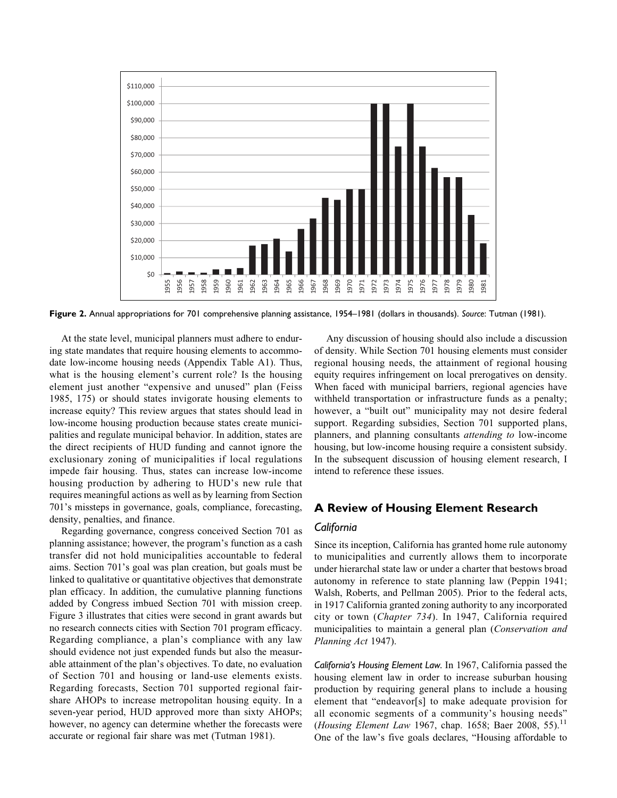

Figure 2. Annual appropriations for 701 comprehensive planning assistance, 1954–1981 (dollars in thousands). Source: Tutman (1981).

At the state level, municipal planners must adhere to enduring state mandates that require housing elements to accommodate low-income housing needs (Appendix Table A1). Thus, what is the housing element's current role? Is the housing element just another "expensive and unused" plan (Feiss 1985, 175) or should states invigorate housing elements to increase equity? This review argues that states should lead in low-income housing production because states create municipalities and regulate municipal behavior. In addition, states are the direct recipients of HUD funding and cannot ignore the exclusionary zoning of municipalities if local regulations impede fair housing. Thus, states can increase low-income housing production by adhering to HUD's new rule that requires meaningful actions as well as by learning from Section 701's missteps in governance, goals, compliance, forecasting, density, penalties, and finance.

Regarding governance, congress conceived Section 701 as planning assistance; however, the program's function as a cash transfer did not hold municipalities accountable to federal aims. Section 701's goal was plan creation, but goals must be linked to qualitative or quantitative objectives that demonstrate plan efficacy. In addition, the cumulative planning functions added by Congress imbued Section 701 with mission creep. Figure 3 illustrates that cities were second in grant awards but no research connects cities with Section 701 program efficacy. Regarding compliance, a plan's compliance with any law should evidence not just expended funds but also the measurable attainment of the plan's objectives. To date, no evaluation of Section 701 and housing or land-use elements exists. Regarding forecasts, Section 701 supported regional fairshare AHOPs to increase metropolitan housing equity. In a seven-year period, HUD approved more than sixty AHOPs; however, no agency can determine whether the forecasts were accurate or regional fair share was met (Tutman 1981).

Any discussion of housing should also include a discussion of density. While Section 701 housing elements must consider regional housing needs, the attainment of regional housing equity requires infringement on local prerogatives on density. When faced with municipal barriers, regional agencies have withheld transportation or infrastructure funds as a penalty; however, a "built out" municipality may not desire federal support. Regarding subsidies, Section 701 supported plans, planners, and planning consultants attending to low-income housing, but low-income housing require a consistent subsidy. In the subsequent discussion of housing element research, I intend to reference these issues.

## A Review of Housing Element Research

#### California

Since its inception, California has granted home rule autonomy to municipalities and currently allows them to incorporate under hierarchal state law or under a charter that bestows broad autonomy in reference to state planning law (Peppin 1941; Walsh, Roberts, and Pellman 2005). Prior to the federal acts, in 1917 California granted zoning authority to any incorporated city or town (Chapter 734). In 1947, California required municipalities to maintain a general plan (Conservation and Planning Act 1947).

California's Housing Element Law. In 1967, California passed the housing element law in order to increase suburban housing production by requiring general plans to include a housing element that "endeavor[s] to make adequate provision for all economic segments of a community's housing needs" (Housing Element Law 1967, chap. 1658; Baer 2008, 55).<sup>11</sup> One of the law's five goals declares, "Housing affordable to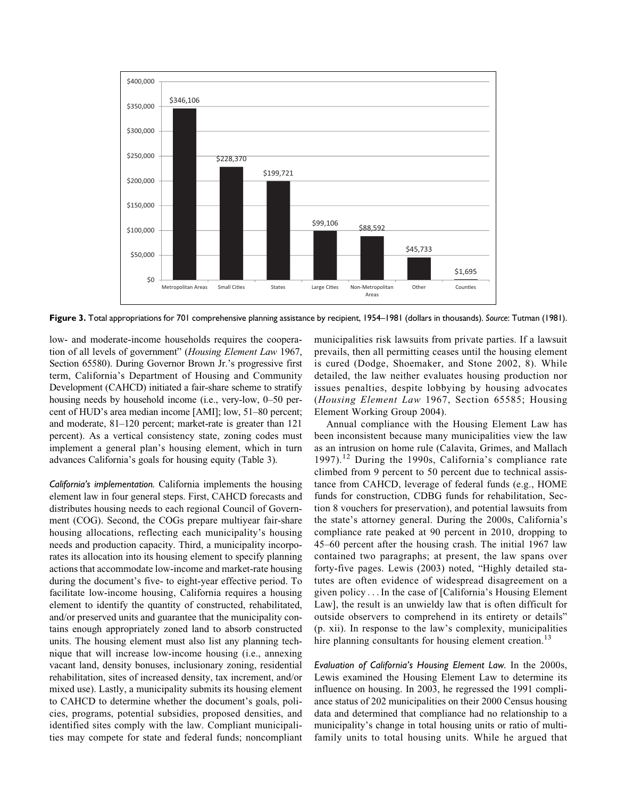

Figure 3. Total appropriations for 701 comprehensive planning assistance by recipient, 1954–1981 (dollars in thousands). Source: Tutman (1981).

low- and moderate-income households requires the cooperation of all levels of government" (Housing Element Law 1967, Section 65580). During Governor Brown Jr.'s progressive first term, California's Department of Housing and Community Development (CAHCD) initiated a fair-share scheme to stratify housing needs by household income (i.e., very-low, 0–50 percent of HUD's area median income [AMI]; low, 51–80 percent; and moderate, 81–120 percent; market-rate is greater than 121 percent). As a vertical consistency state, zoning codes must implement a general plan's housing element, which in turn advances California's goals for housing equity (Table 3).

California's implementation. California implements the housing element law in four general steps. First, CAHCD forecasts and distributes housing needs to each regional Council of Government (COG). Second, the COGs prepare multiyear fair-share housing allocations, reflecting each municipality's housing needs and production capacity. Third, a municipality incorporates its allocation into its housing element to specify planning actions that accommodate low-income and market-rate housing during the document's five- to eight-year effective period. To facilitate low-income housing, California requires a housing element to identify the quantity of constructed, rehabilitated, and/or preserved units and guarantee that the municipality contains enough appropriately zoned land to absorb constructed units. The housing element must also list any planning technique that will increase low-income housing (i.e., annexing vacant land, density bonuses, inclusionary zoning, residential rehabilitation, sites of increased density, tax increment, and/or mixed use). Lastly, a municipality submits its housing element to CAHCD to determine whether the document's goals, policies, programs, potential subsidies, proposed densities, and identified sites comply with the law. Compliant municipalities may compete for state and federal funds; noncompliant municipalities risk lawsuits from private parties. If a lawsuit prevails, then all permitting ceases until the housing element is cured (Dodge, Shoemaker, and Stone 2002, 8). While detailed, the law neither evaluates housing production nor issues penalties, despite lobbying by housing advocates (Housing Element Law 1967, Section 65585; Housing Element Working Group 2004).

Annual compliance with the Housing Element Law has been inconsistent because many municipalities view the law as an intrusion on home rule (Calavita, Grimes, and Mallach 1997).<sup>12</sup> During the 1990s, California's compliance rate climbed from 9 percent to 50 percent due to technical assistance from CAHCD, leverage of federal funds (e.g., HOME funds for construction, CDBG funds for rehabilitation, Section 8 vouchers for preservation), and potential lawsuits from the state's attorney general. During the 2000s, California's compliance rate peaked at 90 percent in 2010, dropping to 45–60 percent after the housing crash. The initial 1967 law contained two paragraphs; at present, the law spans over forty-five pages. Lewis (2003) noted, "Highly detailed statutes are often evidence of widespread disagreement on a given policy ... In the case of [California's Housing Element Law], the result is an unwieldy law that is often difficult for outside observers to comprehend in its entirety or details" (p. xii). In response to the law's complexity, municipalities hire planning consultants for housing element creation.<sup>13</sup>

Evaluation of California's Housing Element Law. In the 2000s, Lewis examined the Housing Element Law to determine its influence on housing. In 2003, he regressed the 1991 compliance status of 202 municipalities on their 2000 Census housing data and determined that compliance had no relationship to a municipality's change in total housing units or ratio of multifamily units to total housing units. While he argued that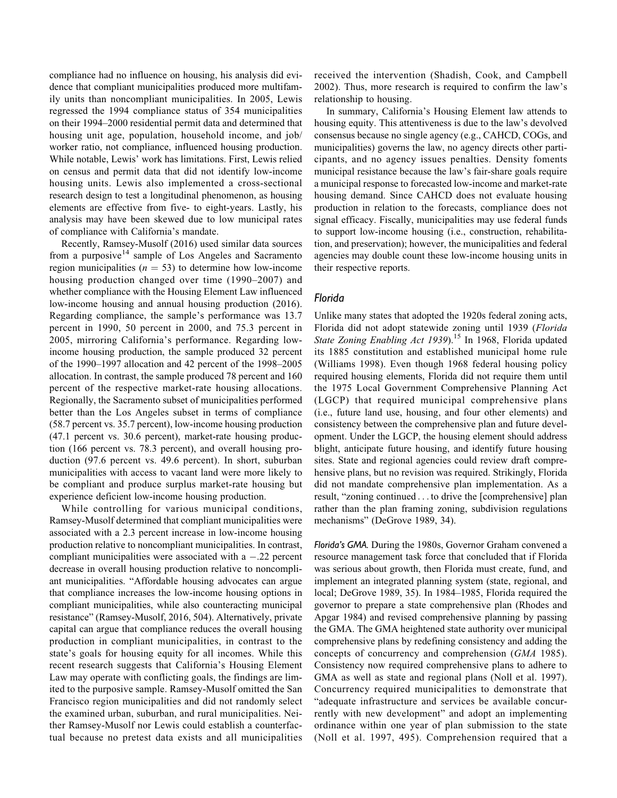compliance had no influence on housing, his analysis did evidence that compliant municipalities produced more multifamily units than noncompliant municipalities. In 2005, Lewis regressed the 1994 compliance status of 354 municipalities on their 1994–2000 residential permit data and determined that housing unit age, population, household income, and job/ worker ratio, not compliance, influenced housing production. While notable, Lewis' work has limitations. First, Lewis relied on census and permit data that did not identify low-income housing units. Lewis also implemented a cross-sectional research design to test a longitudinal phenomenon, as housing elements are effective from five- to eight-years. Lastly, his analysis may have been skewed due to low municipal rates of compliance with California's mandate.

Recently, Ramsey-Musolf (2016) used similar data sources from a purposive $14$  sample of Los Angeles and Sacramento region municipalities ( $n = 53$ ) to determine how low-income housing production changed over time (1990–2007) and whether compliance with the Housing Element Law influenced low-income housing and annual housing production (2016). Regarding compliance, the sample's performance was 13.7 percent in 1990, 50 percent in 2000, and 75.3 percent in 2005, mirroring California's performance. Regarding lowincome housing production, the sample produced 32 percent of the 1990–1997 allocation and 42 percent of the 1998–2005 allocation. In contrast, the sample produced 78 percent and 160 percent of the respective market-rate housing allocations. Regionally, the Sacramento subset of municipalities performed better than the Los Angeles subset in terms of compliance (58.7 percent vs. 35.7 percent), low-income housing production (47.1 percent vs. 30.6 percent), market-rate housing production (166 percent vs. 78.3 percent), and overall housing production (97.6 percent vs. 49.6 percent). In short, suburban municipalities with access to vacant land were more likely to be compliant and produce surplus market-rate housing but experience deficient low-income housing production.

While controlling for various municipal conditions, Ramsey-Musolf determined that compliant municipalities were associated with a 2.3 percent increase in low-income housing production relative to noncompliant municipalities. In contrast, compliant municipalities were associated with  $a - 0.22$  percent decrease in overall housing production relative to noncompliant municipalities. "Affordable housing advocates can argue that compliance increases the low-income housing options in compliant municipalities, while also counteracting municipal resistance" (Ramsey-Musolf, 2016, 504). Alternatively, private capital can argue that compliance reduces the overall housing production in compliant municipalities, in contrast to the state's goals for housing equity for all incomes. While this recent research suggests that California's Housing Element Law may operate with conflicting goals, the findings are limited to the purposive sample. Ramsey-Musolf omitted the San Francisco region municipalities and did not randomly select the examined urban, suburban, and rural municipalities. Neither Ramsey-Musolf nor Lewis could establish a counterfactual because no pretest data exists and all municipalities

received the intervention (Shadish, Cook, and Campbell 2002). Thus, more research is required to confirm the law's relationship to housing.

In summary, California's Housing Element law attends to housing equity. This attentiveness is due to the law's devolved consensus because no single agency (e.g., CAHCD, COGs, and municipalities) governs the law, no agency directs other participants, and no agency issues penalties. Density foments municipal resistance because the law's fair-share goals require a municipal response to forecasted low-income and market-rate housing demand. Since CAHCD does not evaluate housing production in relation to the forecasts, compliance does not signal efficacy. Fiscally, municipalities may use federal funds to support low-income housing (i.e., construction, rehabilitation, and preservation); however, the municipalities and federal agencies may double count these low-income housing units in their respective reports.

#### Florida

Unlike many states that adopted the 1920s federal zoning acts, Florida did not adopt statewide zoning until 1939 (Florida State Zoning Enabling Act 1939).<sup>15</sup> In 1968, Florida updated its 1885 constitution and established municipal home rule (Williams 1998). Even though 1968 federal housing policy required housing elements, Florida did not require them until the 1975 Local Government Comprehensive Planning Act (LGCP) that required municipal comprehensive plans (i.e., future land use, housing, and four other elements) and consistency between the comprehensive plan and future development. Under the LGCP, the housing element should address blight, anticipate future housing, and identify future housing sites. State and regional agencies could review draft comprehensive plans, but no revision was required. Strikingly, Florida did not mandate comprehensive plan implementation. As a result, "zoning continued ... to drive the [comprehensive] plan rather than the plan framing zoning, subdivision regulations mechanisms" (DeGrove 1989, 34).

Florida's GMA. During the 1980s, Governor Graham convened a resource management task force that concluded that if Florida was serious about growth, then Florida must create, fund, and implement an integrated planning system (state, regional, and local; DeGrove 1989, 35). In 1984–1985, Florida required the governor to prepare a state comprehensive plan (Rhodes and Apgar 1984) and revised comprehensive planning by passing the GMA. The GMA heightened state authority over municipal comprehensive plans by redefining consistency and adding the concepts of concurrency and comprehension (GMA 1985). Consistency now required comprehensive plans to adhere to GMA as well as state and regional plans (Noll et al. 1997). Concurrency required municipalities to demonstrate that "adequate infrastructure and services be available concurrently with new development" and adopt an implementing ordinance within one year of plan submission to the state (Noll et al. 1997, 495). Comprehension required that a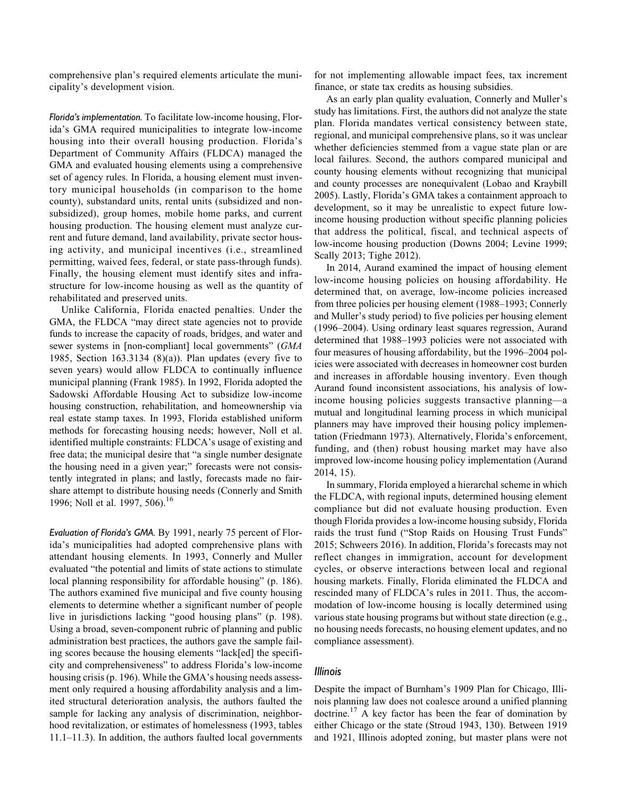comprehensive plan's required elements articulate the municipality's development vision.

Florida's implementation. To facilitate low-income housing, Florida's GMA required municipalities to integrate low-income housing into their overall housing production. Florida's Department of Community Affairs (FLDCA) managed the GMA and evaluated housing elements using a comprehensive set of agency rules. In Florida, a housing element must inventory municipal households (in comparison to the home county), substandard units, rental units (subsidized and nonsubsidized), group homes, mobile home parks, and current housing production. The housing element must analyze current and future demand, land availability, private sector housing activity, and municipal incentives (i.e., streamlined permitting, waived fees, federal, or state pass-through funds). Finally, the housing element must identify sites and infrastructure for low-income housing as well as the quantity of rehabilitated and preserved units.

Unlike California, Florida enacted penalties. Under the GMA, the FLDCA "may direct state agencies not to provide funds to increase the capacity of roads, bridges, and water and sewer systems in [non-compliant] local governments" (GMA 1985, Section 163.3134 (8)(a)). Plan updates (every five to seven years) would allow FLDCA to continually influence municipal planning (Frank 1985). In 1992, Florida adopted the Sadowski Affordable Housing Act to subsidize low-income housing construction, rehabilitation, and homeownership via real estate stamp taxes. In 1993, Florida established uniform methods for forecasting housing needs; however, Noll et al. identified multiple constraints: FLDCA's usage of existing and free data; the municipal desire that "a single number designate the housing need in a given year;" forecasts were not consistently integrated in plans; and lastly, forecasts made no fairshare attempt to distribute housing needs (Connerly and Smith 1996; Noll et al. 1997, 506).<sup>16</sup>

Evaluation of Florida's GMA. By 1991, nearly 75 percent of Florida's municipalities had adopted comprehensive plans with attendant housing elements. In 1993, Connerly and Muller evaluated "the potential and limits of state actions to stimulate local planning responsibility for affordable housing" (p. 186). The authors examined five municipal and five county housing elements to determine whether a significant number of people live in jurisdictions lacking "good housing plans" (p. 198). Using a broad, seven-component rubric of planning and public administration best practices, the authors gave the sample failing scores because the housing elements "lack[ed] the specificity and comprehensiveness" to address Florida's low-income housing crisis (p. 196). While the GMA's housing needs assessment only required a housing affordability analysis and a limited structural deterioration analysis, the authors faulted the sample for lacking any analysis of discrimination, neighborhood revitalization, or estimates of homelessness (1993, tables 11.1–11.3). In addition, the authors faulted local governments for not implementing allowable impact fees, tax increment finance, or state tax credits as housing subsidies.

As an early plan quality evaluation, Connerly and Muller's study has limitations. First, the authors did not analyze the state plan. Florida mandates vertical consistency between state, regional, and municipal comprehensive plans, so it was unclear whether deficiencies stemmed from a vague state plan or are local failures. Second, the authors compared municipal and county housing elements without recognizing that municipal and county processes are nonequivalent (Lobao and Kraybill 2005). Lastly, Florida's GMA takes a containment approach to development, so it may be unrealistic to expect future lowincome housing production without specific planning policies that address the political, fiscal, and technical aspects of low-income housing production (Downs 2004; Levine 1999; Scally 2013; Tighe 2012).

In 2014, Aurand examined the impact of housing element low-income housing policies on housing affordability. He determined that, on average, low-income policies increased from three policies per housing element (1988–1993; Connerly and Muller's study period) to five policies per housing element (1996–2004). Using ordinary least squares regression, Aurand determined that 1988–1993 policies were not associated with four measures of housing affordability, but the 1996–2004 policies were associated with decreases in homeowner cost burden and increases in affordable housing inventory. Even though Aurand found inconsistent associations, his analysis of lowincome housing policies suggests transactive planning—a mutual and longitudinal learning process in which municipal planners may have improved their housing policy implementation (Friedmann 1973). Alternatively, Florida's enforcement, funding, and (then) robust housing market may have also improved low-income housing policy implementation (Aurand 2014, 15).

In summary, Florida employed a hierarchal scheme in which the FLDCA, with regional inputs, determined housing element compliance but did not evaluate housing production. Even though Florida provides a low-income housing subsidy, Florida raids the trust fund ("Stop Raids on Housing Trust Funds" 2015; Schweers 2016). In addition, Florida's forecasts may not reflect changes in immigration, account for development cycles, or observe interactions between local and regional housing markets. Finally, Florida eliminated the FLDCA and rescinded many of FLDCA's rules in 2011. Thus, the accommodation of low-income housing is locally determined using various state housing programs but without state direction (e.g., no housing needs forecasts, no housing element updates, and no compliance assessment).

#### Illinois

Despite the impact of Burnham's 1909 Plan for Chicago, Illinois planning law does not coalesce around a unified planning doctrine.<sup>17</sup> A key factor has been the fear of domination by either Chicago or the state (Stroud 1943, 130). Between 1919 and 1921, Illinois adopted zoning, but master plans were not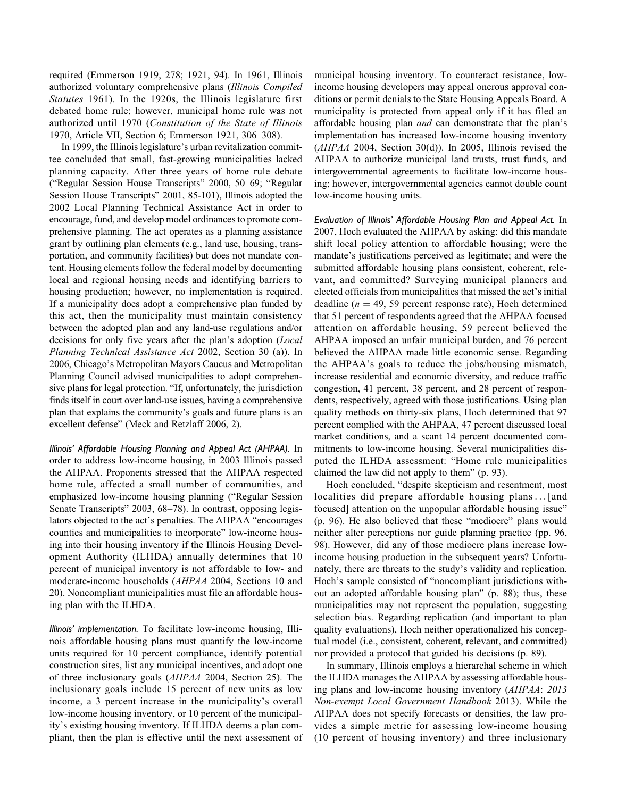required (Emmerson 1919, 278; 1921, 94). In 1961, Illinois authorized voluntary comprehensive plans (Illinois Compiled Statutes 1961). In the 1920s, the Illinois legislature first debated home rule; however, municipal home rule was not authorized until 1970 (Constitution of the State of Illinois 1970, Article VII, Section 6; Emmerson 1921, 306–308).

In 1999, the Illinois legislature's urban revitalization committee concluded that small, fast-growing municipalities lacked planning capacity. After three years of home rule debate ("Regular Session House Transcripts" 2000, 50–69; "Regular Session House Transcripts" 2001, 85-101), Illinois adopted the 2002 Local Planning Technical Assistance Act in order to encourage, fund, and develop model ordinances to promote comprehensive planning. The act operates as a planning assistance grant by outlining plan elements (e.g., land use, housing, transportation, and community facilities) but does not mandate content. Housing elements follow the federal model by documenting local and regional housing needs and identifying barriers to housing production; however, no implementation is required. If a municipality does adopt a comprehensive plan funded by this act, then the municipality must maintain consistency between the adopted plan and any land-use regulations and/or decisions for only five years after the plan's adoption (*Local* Planning Technical Assistance Act 2002, Section 30 (a)). In 2006, Chicago's Metropolitan Mayors Caucus and Metropolitan Planning Council advised municipalities to adopt comprehensive plans for legal protection. "If, unfortunately, the jurisdiction finds itself in court over land-use issues, having a comprehensive plan that explains the community's goals and future plans is an excellent defense" (Meck and Retzlaff 2006, 2).

Illinois' Affordable Housing Planning and Appeal Act (AHPAA). In order to address low-income housing, in 2003 Illinois passed the AHPAA. Proponents stressed that the AHPAA respected home rule, affected a small number of communities, and emphasized low-income housing planning ("Regular Session Senate Transcripts" 2003, 68–78). In contrast, opposing legislators objected to the act's penalties. The AHPAA "encourages counties and municipalities to incorporate" low-income housing into their housing inventory if the Illinois Housing Development Authority (ILHDA) annually determines that 10 percent of municipal inventory is not affordable to low- and moderate-income households (AHPAA 2004, Sections 10 and 20). Noncompliant municipalities must file an affordable housing plan with the ILHDA.

Illinois' implementation. To facilitate low-income housing, Illinois affordable housing plans must quantify the low-income units required for 10 percent compliance, identify potential construction sites, list any municipal incentives, and adopt one of three inclusionary goals (AHPAA 2004, Section 25). The inclusionary goals include 15 percent of new units as low income, a 3 percent increase in the municipality's overall low-income housing inventory, or 10 percent of the municipality's existing housing inventory. If ILHDA deems a plan compliant, then the plan is effective until the next assessment of municipal housing inventory. To counteract resistance, lowincome housing developers may appeal onerous approval conditions or permit denials to the State Housing Appeals Board. A municipality is protected from appeal only if it has filed an affordable housing plan and can demonstrate that the plan's implementation has increased low-income housing inventory  $(AHPAA 2004, Section 30(d))$ . In 2005, Illinois revised the AHPAA to authorize municipal land trusts, trust funds, and intergovernmental agreements to facilitate low-income housing; however, intergovernmental agencies cannot double count low-income housing units.

Evaluation of Illinois' Affordable Housing Plan and Appeal Act. In 2007, Hoch evaluated the AHPAA by asking: did this mandate shift local policy attention to affordable housing; were the mandate's justifications perceived as legitimate; and were the submitted affordable housing plans consistent, coherent, relevant, and committed? Surveying municipal planners and elected officials from municipalities that missed the act's initial deadline ( $n = 49, 59$  percent response rate), Hoch determined that 51 percent of respondents agreed that the AHPAA focused attention on affordable housing, 59 percent believed the AHPAA imposed an unfair municipal burden, and 76 percent believed the AHPAA made little economic sense. Regarding the AHPAA's goals to reduce the jobs/housing mismatch, increase residential and economic diversity, and reduce traffic congestion, 41 percent, 38 percent, and 28 percent of respondents, respectively, agreed with those justifications. Using plan quality methods on thirty-six plans, Hoch determined that 97 percent complied with the AHPAA, 47 percent discussed local market conditions, and a scant 14 percent documented commitments to low-income housing. Several municipalities disputed the ILHDA assessment: "Home rule municipalities claimed the law did not apply to them" (p. 93).

Hoch concluded, "despite skepticism and resentment, most localities did prepare affordable housing plans ... [and focused] attention on the unpopular affordable housing issue" (p. 96). He also believed that these "mediocre" plans would neither alter perceptions nor guide planning practice (pp. 96, 98). However, did any of those mediocre plans increase lowincome housing production in the subsequent years? Unfortunately, there are threats to the study's validity and replication. Hoch's sample consisted of "noncompliant jurisdictions without an adopted affordable housing plan" (p. 88); thus, these municipalities may not represent the population, suggesting selection bias. Regarding replication (and important to plan quality evaluations), Hoch neither operationalized his conceptual model (i.e., consistent, coherent, relevant, and committed) nor provided a protocol that guided his decisions (p. 89).

In summary, Illinois employs a hierarchal scheme in which the ILHDA manages the AHPAA by assessing affordable housing plans and low-income housing inventory (AHPAA: 2013 Non-exempt Local Government Handbook 2013). While the AHPAA does not specify forecasts or densities, the law provides a simple metric for assessing low-income housing (10 percent of housing inventory) and three inclusionary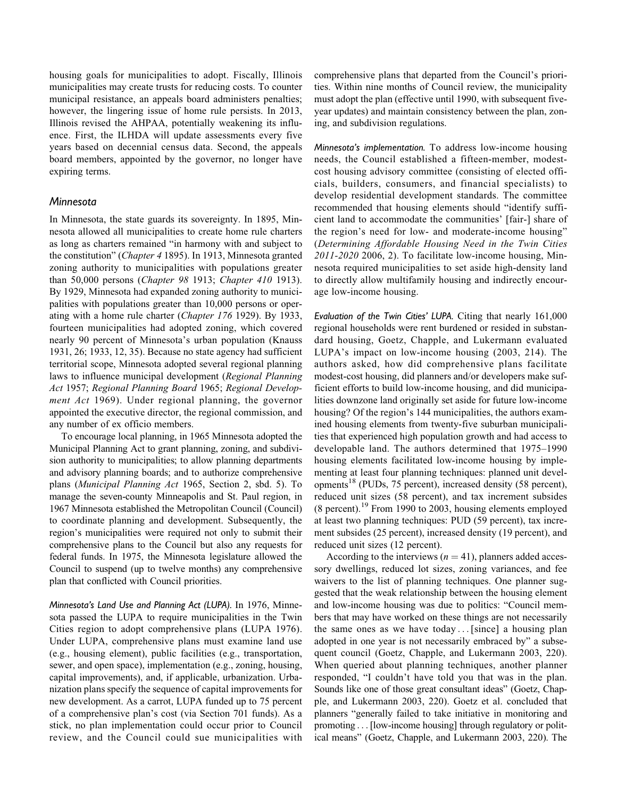housing goals for municipalities to adopt. Fiscally, Illinois municipalities may create trusts for reducing costs. To counter municipal resistance, an appeals board administers penalties; however, the lingering issue of home rule persists. In 2013, Illinois revised the AHPAA, potentially weakening its influence. First, the ILHDA will update assessments every five years based on decennial census data. Second, the appeals board members, appointed by the governor, no longer have expiring terms.

#### Minnesota

In Minnesota, the state guards its sovereignty. In 1895, Minnesota allowed all municipalities to create home rule charters as long as charters remained "in harmony with and subject to the constitution" (Chapter 4 1895). In 1913, Minnesota granted zoning authority to municipalities with populations greater than 50,000 persons (Chapter 98 1913; Chapter 410 1913). By 1929, Minnesota had expanded zoning authority to municipalities with populations greater than 10,000 persons or operating with a home rule charter (Chapter 176 1929). By 1933, fourteen municipalities had adopted zoning, which covered nearly 90 percent of Minnesota's urban population (Knauss 1931, 26; 1933, 12, 35). Because no state agency had sufficient territorial scope, Minnesota adopted several regional planning laws to influence municipal development (Regional Planning Act 1957; Regional Planning Board 1965; Regional Development Act 1969). Under regional planning, the governor appointed the executive director, the regional commission, and any number of ex officio members.

To encourage local planning, in 1965 Minnesota adopted the Municipal Planning Act to grant planning, zoning, and subdivision authority to municipalities; to allow planning departments and advisory planning boards; and to authorize comprehensive plans (Municipal Planning Act 1965, Section 2, sbd. 5). To manage the seven-county Minneapolis and St. Paul region, in 1967 Minnesota established the Metropolitan Council (Council) to coordinate planning and development. Subsequently, the region's municipalities were required not only to submit their comprehensive plans to the Council but also any requests for federal funds. In 1975, the Minnesota legislature allowed the Council to suspend (up to twelve months) any comprehensive plan that conflicted with Council priorities.

Minnesota's Land Use and Planning Act (LUPA). In 1976, Minnesota passed the LUPA to require municipalities in the Twin Cities region to adopt comprehensive plans (LUPA 1976). Under LUPA, comprehensive plans must examine land use (e.g., housing element), public facilities (e.g., transportation, sewer, and open space), implementation (e.g., zoning, housing, capital improvements), and, if applicable, urbanization. Urbanization plans specify the sequence of capital improvements for new development. As a carrot, LUPA funded up to 75 percent of a comprehensive plan's cost (via Section 701 funds). As a stick, no plan implementation could occur prior to Council review, and the Council could sue municipalities with comprehensive plans that departed from the Council's priorities. Within nine months of Council review, the municipality must adopt the plan (effective until 1990, with subsequent fiveyear updates) and maintain consistency between the plan, zoning, and subdivision regulations.

Minnesota's implementation. To address low-income housing needs, the Council established a fifteen-member, modestcost housing advisory committee (consisting of elected officials, builders, consumers, and financial specialists) to develop residential development standards. The committee recommended that housing elements should "identify sufficient land to accommodate the communities' [fair-] share of the region's need for low- and moderate-income housing" (Determining Affordable Housing Need in the Twin Cities 2011-2020 2006, 2). To facilitate low-income housing, Minnesota required municipalities to set aside high-density land to directly allow multifamily housing and indirectly encourage low-income housing.

Evaluation of the Twin Cities' LUPA. Citing that nearly 161,000 regional households were rent burdened or resided in substandard housing, Goetz, Chapple, and Lukermann evaluated LUPA's impact on low-income housing (2003, 214). The authors asked, how did comprehensive plans facilitate modest-cost housing, did planners and/or developers make sufficient efforts to build low-income housing, and did municipalities downzone land originally set aside for future low-income housing? Of the region's 144 municipalities, the authors examined housing elements from twenty-five suburban municipalities that experienced high population growth and had access to developable land. The authors determined that 1975–1990 housing elements facilitated low-income housing by implementing at least four planning techniques: planned unit developments<sup>18</sup> (PUDs, 75 percent), increased density (58 percent), reduced unit sizes (58 percent), and tax increment subsides  $(8 \text{ percent})$ .<sup>19</sup> From 1990 to 2003, housing elements employed at least two planning techniques: PUD (59 percent), tax increment subsides (25 percent), increased density (19 percent), and reduced unit sizes (12 percent).

According to the interviews ( $n = 41$ ), planners added accessory dwellings, reduced lot sizes, zoning variances, and fee waivers to the list of planning techniques. One planner suggested that the weak relationship between the housing element and low-income housing was due to politics: "Council members that may have worked on these things are not necessarily the same ones as we have today ... [since] a housing plan adopted in one year is not necessarily embraced by" a subsequent council (Goetz, Chapple, and Lukermann 2003, 220). When queried about planning techniques, another planner responded, "I couldn't have told you that was in the plan. Sounds like one of those great consultant ideas" (Goetz, Chapple, and Lukermann 2003, 220). Goetz et al. concluded that planners "generally failed to take initiative in monitoring and promoting ... [low-income housing] through regulatory or political means" (Goetz, Chapple, and Lukermann 2003, 220). The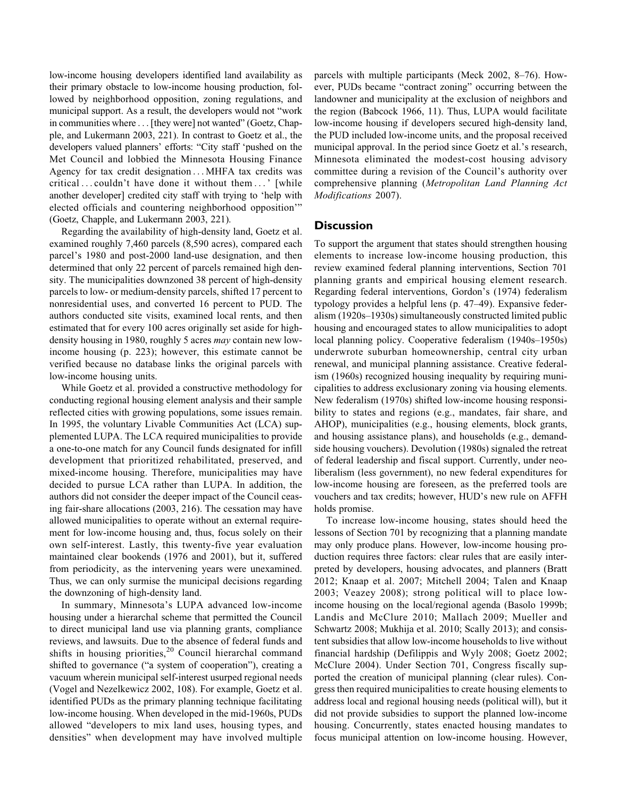low-income housing developers identified land availability as their primary obstacle to low-income housing production, followed by neighborhood opposition, zoning regulations, and municipal support. As a result, the developers would not "work in communities where ... [they were] not wanted" (Goetz, Chapple, and Lukermann 2003, 221). In contrast to Goetz et al., the developers valued planners' efforts: "City staff 'pushed on the Met Council and lobbied the Minnesota Housing Finance Agency for tax credit designation ... MHFA tax credits was critical ... couldn't have done it without them ...' [while another developer] credited city staff with trying to 'help with elected officials and countering neighborhood opposition'" (Goetz, Chapple, and Lukermann 2003, 221).

Regarding the availability of high-density land, Goetz et al. examined roughly 7,460 parcels (8,590 acres), compared each parcel's 1980 and post-2000 land-use designation, and then determined that only 22 percent of parcels remained high density. The municipalities downzoned 38 percent of high-density parcels to low- or medium-density parcels, shifted 17 percent to nonresidential uses, and converted 16 percent to PUD. The authors conducted site visits, examined local rents, and then estimated that for every 100 acres originally set aside for highdensity housing in 1980, roughly 5 acres *may* contain new lowincome housing (p. 223); however, this estimate cannot be verified because no database links the original parcels with low-income housing units.

While Goetz et al. provided a constructive methodology for conducting regional housing element analysis and their sample reflected cities with growing populations, some issues remain. In 1995, the voluntary Livable Communities Act (LCA) supplemented LUPA. The LCA required municipalities to provide a one-to-one match for any Council funds designated for infill development that prioritized rehabilitated, preserved, and mixed-income housing. Therefore, municipalities may have decided to pursue LCA rather than LUPA. In addition, the authors did not consider the deeper impact of the Council ceasing fair-share allocations (2003, 216). The cessation may have allowed municipalities to operate without an external requirement for low-income housing and, thus, focus solely on their own self-interest. Lastly, this twenty-five year evaluation maintained clear bookends (1976 and 2001), but it, suffered from periodicity, as the intervening years were unexamined. Thus, we can only surmise the municipal decisions regarding the downzoning of high-density land.

In summary, Minnesota's LUPA advanced low-income housing under a hierarchal scheme that permitted the Council to direct municipal land use via planning grants, compliance reviews, and lawsuits. Due to the absence of federal funds and shifts in housing priorities,<sup>20</sup> Council hierarchal command shifted to governance ("a system of cooperation"), creating a vacuum wherein municipal self-interest usurped regional needs (Vogel and Nezelkewicz 2002, 108). For example, Goetz et al. identified PUDs as the primary planning technique facilitating low-income housing. When developed in the mid-1960s, PUDs allowed "developers to mix land uses, housing types, and densities" when development may have involved multiple parcels with multiple participants (Meck 2002, 8–76). However, PUDs became "contract zoning" occurring between the landowner and municipality at the exclusion of neighbors and the region (Babcock 1966, 11). Thus, LUPA would facilitate low-income housing if developers secured high-density land, the PUD included low-income units, and the proposal received municipal approval. In the period since Goetz et al.'s research, Minnesota eliminated the modest-cost housing advisory committee during a revision of the Council's authority over comprehensive planning (Metropolitan Land Planning Act Modifications 2007).

#### **Discussion**

To support the argument that states should strengthen housing elements to increase low-income housing production, this review examined federal planning interventions, Section 701 planning grants and empirical housing element research. Regarding federal interventions, Gordon's (1974) federalism typology provides a helpful lens (p. 47–49). Expansive federalism (1920s–1930s) simultaneously constructed limited public housing and encouraged states to allow municipalities to adopt local planning policy. Cooperative federalism (1940s–1950s) underwrote suburban homeownership, central city urban renewal, and municipal planning assistance. Creative federalism (1960s) recognized housing inequality by requiring municipalities to address exclusionary zoning via housing elements. New federalism (1970s) shifted low-income housing responsibility to states and regions (e.g., mandates, fair share, and AHOP), municipalities (e.g., housing elements, block grants, and housing assistance plans), and households (e.g., demandside housing vouchers). Devolution (1980s) signaled the retreat of federal leadership and fiscal support. Currently, under neoliberalism (less government), no new federal expenditures for low-income housing are foreseen, as the preferred tools are vouchers and tax credits; however, HUD's new rule on AFFH holds promise.

To increase low-income housing, states should heed the lessons of Section 701 by recognizing that a planning mandate may only produce plans. However, low-income housing production requires three factors: clear rules that are easily interpreted by developers, housing advocates, and planners (Bratt 2012; Knaap et al. 2007; Mitchell 2004; Talen and Knaap 2003; Veazey 2008); strong political will to place lowincome housing on the local/regional agenda (Basolo 1999b; Landis and McClure 2010; Mallach 2009; Mueller and Schwartz 2008; Mukhija et al. 2010; Scally 2013); and consistent subsidies that allow low-income households to live without financial hardship (Defilippis and Wyly 2008; Goetz 2002; McClure 2004). Under Section 701, Congress fiscally supported the creation of municipal planning (clear rules). Congress then required municipalities to create housing elements to address local and regional housing needs (political will), but it did not provide subsidies to support the planned low-income housing. Concurrently, states enacted housing mandates to focus municipal attention on low-income housing. However,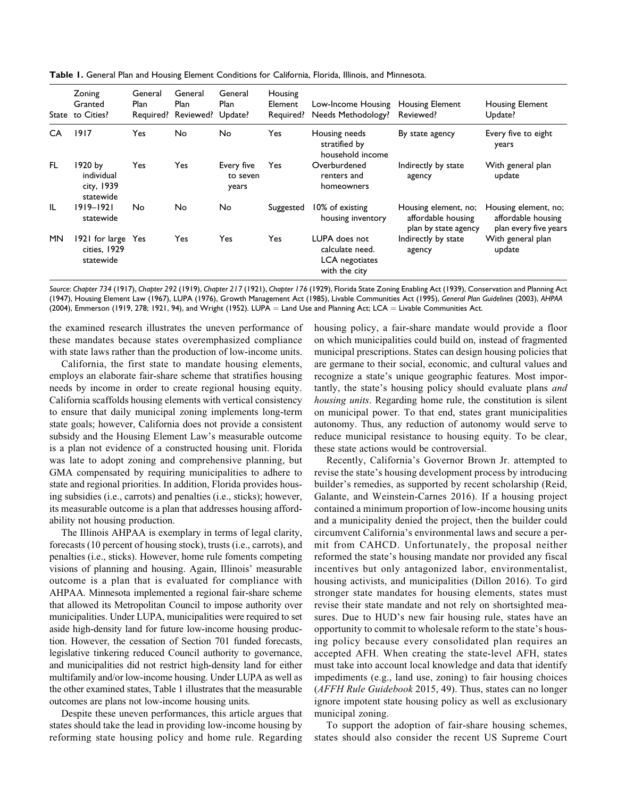Table 1. General Plan and Housing Element Conditions for California, Florida, Illinois, and Minnesota.

|           | Zoning<br>Granted<br>State to Cities?            | General<br>Plan | General<br>Plan<br>Required? Reviewed? | General<br>Plan<br>Update?      | Housing<br>Element<br>Reguired? | Low-Income Housing<br>Needs Methodology?                            | <b>Housing Element</b><br>Reviewed?                                | <b>Housing Element</b><br>Update?                                   |
|-----------|--------------------------------------------------|-----------------|----------------------------------------|---------------------------------|---------------------------------|---------------------------------------------------------------------|--------------------------------------------------------------------|---------------------------------------------------------------------|
| CA        | 1917                                             | Yes             | No                                     | No.                             | Yes                             | Housing needs<br>stratified by<br>household income                  | By state agency                                                    | Every five to eight<br>years                                        |
| FL.       | 1920 by<br>individual<br>city, 1939<br>statewide | Yes             | Yes                                    | Every five<br>to seven<br>years | Yes                             | Overburdened<br>renters and<br>homeowners                           | Indirectly by state<br>agency                                      | With general plan<br>update                                         |
| IL.       | 1919–1921<br>statewide                           | No.             | No.                                    | No.                             | Suggested                       | 10% of existing<br>housing inventory                                | Housing element, no;<br>affordable housing<br>plan by state agency | Housing element, no;<br>affordable housing<br>plan every five years |
| <b>MN</b> | 1921 for large<br>cities, 1929<br>statewide      | Yes             | Yes                                    | Yes                             | Yes                             | LUPA does not<br>calculate need.<br>LCA negotiates<br>with the city | Indirectly by state<br>agency                                      | With general plan<br>update                                         |

Source: Chapter 734 (1917), Chapter 292 (1919), Chapter 217 (1921), Chapter 176 (1929), Florida State Zoning Enabling Act (1939), Conservation and Planning Act (1947), Housing Element Law (1967), LUPA (1976), Growth Management Act (1985), Livable Communities Act (1995), General Plan Guidelines (2003), AHPAA (2004), Emmerson (1919, 278; 1921, 94), and Wright (1952). LUPA = Land Use and Planning Act; LCA = Livable Communities Act.

the examined research illustrates the uneven performance of these mandates because states overemphasized compliance with state laws rather than the production of low-income units.

California, the first state to mandate housing elements, employs an elaborate fair-share scheme that stratifies housing needs by income in order to create regional housing equity. California scaffolds housing elements with vertical consistency to ensure that daily municipal zoning implements long-term state goals; however, California does not provide a consistent subsidy and the Housing Element Law's measurable outcome is a plan not evidence of a constructed housing unit. Florida was late to adopt zoning and comprehensive planning, but GMA compensated by requiring municipalities to adhere to state and regional priorities. In addition, Florida provides housing subsidies (i.e., carrots) and penalties (i.e., sticks); however, its measurable outcome is a plan that addresses housing affordability not housing production.

The Illinois AHPAA is exemplary in terms of legal clarity, forecasts (10 percent of housing stock), trusts (i.e., carrots), and penalties (i.e., sticks). However, home rule foments competing visions of planning and housing. Again, Illinois' measurable outcome is a plan that is evaluated for compliance with AHPAA. Minnesota implemented a regional fair-share scheme that allowed its Metropolitan Council to impose authority over municipalities. Under LUPA, municipalities were required to set aside high-density land for future low-income housing production. However, the cessation of Section 701 funded forecasts, legislative tinkering reduced Council authority to governance, and municipalities did not restrict high-density land for either multifamily and/or low-income housing. Under LUPA as well as the other examined states, Table 1 illustrates that the measurable outcomes are plans not low-income housing units.

Despite these uneven performances, this article argues that states should take the lead in providing low-income housing by reforming state housing policy and home rule. Regarding housing policy, a fair-share mandate would provide a floor on which municipalities could build on, instead of fragmented municipal prescriptions. States can design housing policies that are germane to their social, economic, and cultural values and recognize a state's unique geographic features. Most importantly, the state's housing policy should evaluate plans and housing units. Regarding home rule, the constitution is silent on municipal power. To that end, states grant municipalities autonomy. Thus, any reduction of autonomy would serve to reduce municipal resistance to housing equity. To be clear, these state actions would be controversial.

Recently, California's Governor Brown Jr. attempted to revise the state's housing development process by introducing builder's remedies, as supported by recent scholarship (Reid, Galante, and Weinstein-Carnes 2016). If a housing project contained a minimum proportion of low-income housing units and a municipality denied the project, then the builder could circumvent California's environmental laws and secure a permit from CAHCD. Unfortunately, the proposal neither reformed the state's housing mandate nor provided any fiscal incentives but only antagonized labor, environmentalist, housing activists, and municipalities (Dillon 2016). To gird stronger state mandates for housing elements, states must revise their state mandate and not rely on shortsighted measures. Due to HUD's new fair housing rule, states have an opportunity to commit to wholesale reform to the state's housing policy because every consolidated plan requires an accepted AFH. When creating the state-level AFH, states must take into account local knowledge and data that identify impediments (e.g., land use, zoning) to fair housing choices (AFFH Rule Guidebook 2015, 49). Thus, states can no longer ignore impotent state housing policy as well as exclusionary municipal zoning.

To support the adoption of fair-share housing schemes, states should also consider the recent US Supreme Court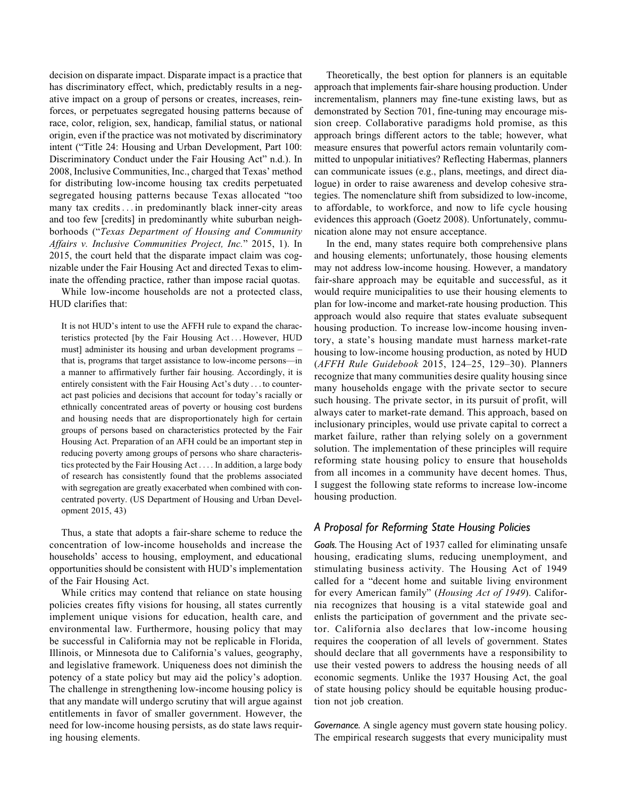decision on disparate impact. Disparate impact is a practice that has discriminatory effect, which, predictably results in a negative impact on a group of persons or creates, increases, reinforces, or perpetuates segregated housing patterns because of race, color, religion, sex, handicap, familial status, or national origin, even if the practice was not motivated by discriminatory intent ("Title 24: Housing and Urban Development, Part 100: Discriminatory Conduct under the Fair Housing Act" n.d.). In 2008, Inclusive Communities, Inc., charged that Texas' method for distributing low-income housing tax credits perpetuated segregated housing patterns because Texas allocated "too many tax credits... in predominantly black inner-city areas and too few [credits] in predominantly white suburban neighborhoods ("Texas Department of Housing and Community Affairs v. Inclusive Communities Project, Inc." 2015, 1). In 2015, the court held that the disparate impact claim was cognizable under the Fair Housing Act and directed Texas to eliminate the offending practice, rather than impose racial quotas.

While low-income households are not a protected class, HUD clarifies that:

It is not HUD's intent to use the AFFH rule to expand the characteristics protected [by the Fair Housing Act ... However, HUD must] administer its housing and urban development programs – that is, programs that target assistance to low-income persons—in a manner to affirmatively further fair housing. Accordingly, it is entirely consistent with the Fair Housing Act's duty ... to counteract past policies and decisions that account for today's racially or ethnically concentrated areas of poverty or housing cost burdens and housing needs that are disproportionately high for certain groups of persons based on characteristics protected by the Fair Housing Act. Preparation of an AFH could be an important step in reducing poverty among groups of persons who share characteristics protected by the Fair Housing Act ... . In addition, a large body of research has consistently found that the problems associated with segregation are greatly exacerbated when combined with concentrated poverty. (US Department of Housing and Urban Development 2015, 43)

Thus, a state that adopts a fair-share scheme to reduce the concentration of low-income households and increase the households' access to housing, employment, and educational opportunities should be consistent with HUD's implementation of the Fair Housing Act.

While critics may contend that reliance on state housing policies creates fifty visions for housing, all states currently implement unique visions for education, health care, and environmental law. Furthermore, housing policy that may be successful in California may not be replicable in Florida, Illinois, or Minnesota due to California's values, geography, and legislative framework. Uniqueness does not diminish the potency of a state policy but may aid the policy's adoption. The challenge in strengthening low-income housing policy is that any mandate will undergo scrutiny that will argue against entitlements in favor of smaller government. However, the need for low-income housing persists, as do state laws requiring housing elements.

Theoretically, the best option for planners is an equitable approach that implements fair-share housing production. Under incrementalism, planners may fine-tune existing laws, but as demonstrated by Section 701, fine-tuning may encourage mission creep. Collaborative paradigms hold promise, as this approach brings different actors to the table; however, what measure ensures that powerful actors remain voluntarily committed to unpopular initiatives? Reflecting Habermas, planners can communicate issues (e.g., plans, meetings, and direct dialogue) in order to raise awareness and develop cohesive strategies. The nomenclature shift from subsidized to low-income, to affordable, to workforce, and now to life cycle housing evidences this approach (Goetz 2008). Unfortunately, communication alone may not ensure acceptance.

In the end, many states require both comprehensive plans and housing elements; unfortunately, those housing elements may not address low-income housing. However, a mandatory fair-share approach may be equitable and successful, as it would require municipalities to use their housing elements to plan for low-income and market-rate housing production. This approach would also require that states evaluate subsequent housing production. To increase low-income housing inventory, a state's housing mandate must harness market-rate housing to low-income housing production, as noted by HUD (AFFH Rule Guidebook 2015, 124–25, 129–30). Planners recognize that many communities desire quality housing since many households engage with the private sector to secure such housing. The private sector, in its pursuit of profit, will always cater to market-rate demand. This approach, based on inclusionary principles, would use private capital to correct a market failure, rather than relying solely on a government solution. The implementation of these principles will require reforming state housing policy to ensure that households from all incomes in a community have decent homes. Thus, I suggest the following state reforms to increase low-income housing production.

## A Proposal for Reforming State Housing Policies

Goals. The Housing Act of 1937 called for eliminating unsafe housing, eradicating slums, reducing unemployment, and stimulating business activity. The Housing Act of 1949 called for a "decent home and suitable living environment for every American family" (Housing Act of 1949). California recognizes that housing is a vital statewide goal and enlists the participation of government and the private sector. California also declares that low-income housing requires the cooperation of all levels of government. States should declare that all governments have a responsibility to use their vested powers to address the housing needs of all economic segments. Unlike the 1937 Housing Act, the goal of state housing policy should be equitable housing production not job creation.

Governance. A single agency must govern state housing policy. The empirical research suggests that every municipality must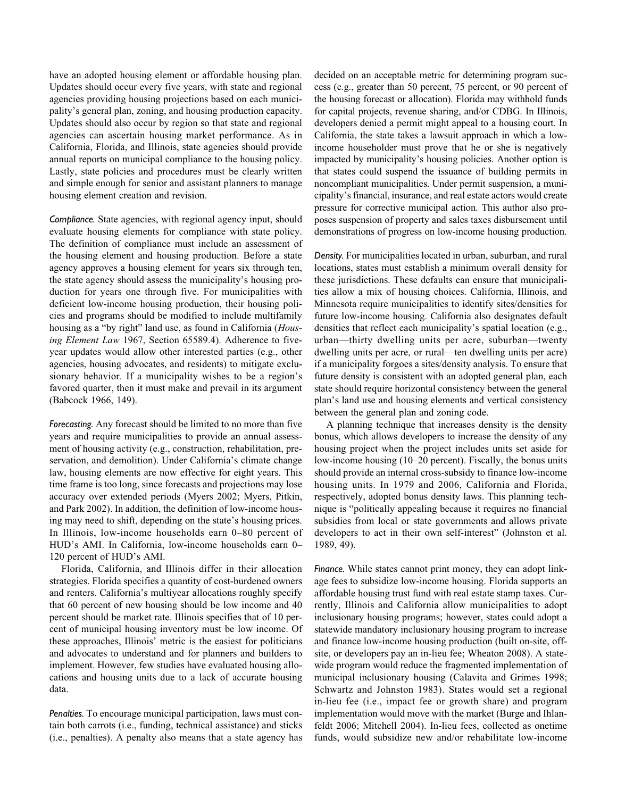have an adopted housing element or affordable housing plan. Updates should occur every five years, with state and regional agencies providing housing projections based on each municipality's general plan, zoning, and housing production capacity. Updates should also occur by region so that state and regional agencies can ascertain housing market performance. As in California, Florida, and Illinois, state agencies should provide annual reports on municipal compliance to the housing policy. Lastly, state policies and procedures must be clearly written and simple enough for senior and assistant planners to manage housing element creation and revision.

Compliance. State agencies, with regional agency input, should evaluate housing elements for compliance with state policy. The definition of compliance must include an assessment of the housing element and housing production. Before a state agency approves a housing element for years six through ten, the state agency should assess the municipality's housing production for years one through five. For municipalities with deficient low-income housing production, their housing policies and programs should be modified to include multifamily housing as a "by right" land use, as found in California (Housing Element Law 1967, Section 65589.4). Adherence to fiveyear updates would allow other interested parties (e.g., other agencies, housing advocates, and residents) to mitigate exclusionary behavior. If a municipality wishes to be a region's favored quarter, then it must make and prevail in its argument (Babcock 1966, 149).

Forecasting. Any forecast should be limited to no more than five years and require municipalities to provide an annual assessment of housing activity (e.g., construction, rehabilitation, preservation, and demolition). Under California's climate change law, housing elements are now effective for eight years. This time frame is too long, since forecasts and projections may lose accuracy over extended periods (Myers 2002; Myers, Pitkin, and Park 2002). In addition, the definition of low-income housing may need to shift, depending on the state's housing prices. In Illinois, low-income households earn 0–80 percent of HUD's AMI. In California, low-income households earn 0– 120 percent of HUD's AMI.

Florida, California, and Illinois differ in their allocation strategies. Florida specifies a quantity of cost-burdened owners and renters. California's multiyear allocations roughly specify that 60 percent of new housing should be low income and 40 percent should be market rate. Illinois specifies that of 10 percent of municipal housing inventory must be low income. Of these approaches, Illinois' metric is the easiest for politicians and advocates to understand and for planners and builders to implement. However, few studies have evaluated housing allocations and housing units due to a lack of accurate housing data.

Penalties. To encourage municipal participation, laws must contain both carrots (i.e., funding, technical assistance) and sticks (i.e., penalties). A penalty also means that a state agency has decided on an acceptable metric for determining program success (e.g., greater than 50 percent, 75 percent, or 90 percent of the housing forecast or allocation). Florida may withhold funds for capital projects, revenue sharing, and/or CDBG. In Illinois, developers denied a permit might appeal to a housing court. In California, the state takes a lawsuit approach in which a lowincome householder must prove that he or she is negatively impacted by municipality's housing policies. Another option is that states could suspend the issuance of building permits in noncompliant municipalities. Under permit suspension, a municipality's financial, insurance, and real estate actors would create pressure for corrective municipal action. This author also proposes suspension of property and sales taxes disbursement until demonstrations of progress on low-income housing production.

Density. For municipalities located in urban, suburban, and rural locations, states must establish a minimum overall density for these jurisdictions. These defaults can ensure that municipalities allow a mix of housing choices. California, Illinois, and Minnesota require municipalities to identify sites/densities for future low-income housing. California also designates default densities that reflect each municipality's spatial location (e.g., urban—thirty dwelling units per acre, suburban—twenty dwelling units per acre, or rural—ten dwelling units per acre) if a municipality forgoes a sites/density analysis. To ensure that future density is consistent with an adopted general plan, each state should require horizontal consistency between the general plan's land use and housing elements and vertical consistency between the general plan and zoning code.

A planning technique that increases density is the density bonus, which allows developers to increase the density of any housing project when the project includes units set aside for low-income housing (10–20 percent). Fiscally, the bonus units should provide an internal cross-subsidy to finance low-income housing units. In 1979 and 2006, California and Florida, respectively, adopted bonus density laws. This planning technique is "politically appealing because it requires no financial subsidies from local or state governments and allows private developers to act in their own self-interest" (Johnston et al. 1989, 49).

Finance. While states cannot print money, they can adopt linkage fees to subsidize low-income housing. Florida supports an affordable housing trust fund with real estate stamp taxes. Currently, Illinois and California allow municipalities to adopt inclusionary housing programs; however, states could adopt a statewide mandatory inclusionary housing program to increase and finance low-income housing production (built on-site, offsite, or developers pay an in-lieu fee; Wheaton 2008). A statewide program would reduce the fragmented implementation of municipal inclusionary housing (Calavita and Grimes 1998; Schwartz and Johnston 1983). States would set a regional in-lieu fee (i.e., impact fee or growth share) and program implementation would move with the market (Burge and Ihlanfeldt 2006; Mitchell 2004). In-lieu fees, collected as onetime funds, would subsidize new and/or rehabilitate low-income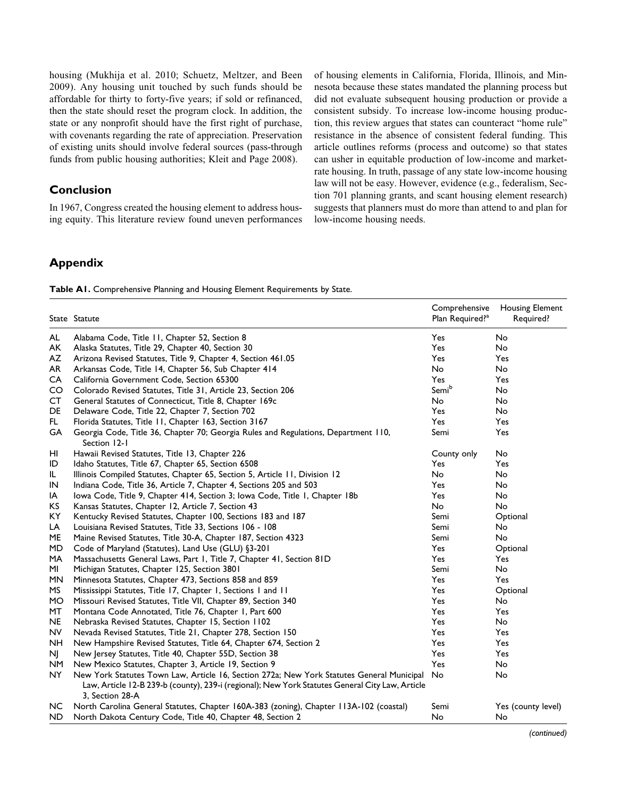housing (Mukhija et al. 2010; Schuetz, Meltzer, and Been 2009). Any housing unit touched by such funds should be affordable for thirty to forty-five years; if sold or refinanced, then the state should reset the program clock. In addition, the state or any nonprofit should have the first right of purchase, with covenants regarding the rate of appreciation. Preservation of existing units should involve federal sources (pass-through funds from public housing authorities; Kleit and Page 2008).

Conclusion

In 1967, Congress created the housing element to address housing equity. This literature review found uneven performances of housing elements in California, Florida, Illinois, and Minnesota because these states mandated the planning process but did not evaluate subsequent housing production or provide a consistent subsidy. To increase low-income housing production, this review argues that states can counteract "home rule" resistance in the absence of consistent federal funding. This article outlines reforms (process and outcome) so that states can usher in equitable production of low-income and marketrate housing. In truth, passage of any state low-income housing law will not be easy. However, evidence (e.g., federalism, Section 701 planning grants, and scant housing element research) suggests that planners must do more than attend to and plan for low-income housing needs.

## Appendix

Table A1. Comprehensive Planning and Housing Element Requirements by State.

|           | State Statute                                                                                                                                                                                                   | Comprehensive<br>Plan Required? <sup>a</sup> | Housing Element<br>Required? |
|-----------|-----------------------------------------------------------------------------------------------------------------------------------------------------------------------------------------------------------------|----------------------------------------------|------------------------------|
| AL        | Alabama Code, Title 11, Chapter 52, Section 8                                                                                                                                                                   | Yes                                          | No                           |
| AK        | Alaska Statutes, Title 29, Chapter 40, Section 30                                                                                                                                                               | Yes                                          | No                           |
| AZ        | Arizona Revised Statutes, Title 9, Chapter 4, Section 461.05                                                                                                                                                    | Yes                                          | Yes                          |
| AR        | Arkansas Code, Title 14, Chapter 56, Sub Chapter 414                                                                                                                                                            | <b>No</b>                                    | <b>No</b>                    |
| CA        | California Government Code, Section 65300                                                                                                                                                                       | Yes                                          | Yes.                         |
| CO.       | Colorado Revised Statutes, Title 31, Article 23, Section 206                                                                                                                                                    | Semib                                        | No                           |
| CT        | General Statutes of Connecticut, Title 8, Chapter 169c                                                                                                                                                          | No                                           | No                           |
| DE        | Delaware Code, Title 22, Chapter 7, Section 702                                                                                                                                                                 | Yes                                          | <b>No</b>                    |
| FL.       | Florida Statutes, Title 11, Chapter 163, Section 3167                                                                                                                                                           | Yes                                          | Yes                          |
| GA        | Georgia Code, Title 36, Chapter 70; Georgia Rules and Regulations, Department 110,<br>Section 12-1                                                                                                              | Semi                                         | Yes                          |
| HI        | Hawaii Revised Statutes, Title 13, Chapter 226                                                                                                                                                                  | County only                                  | No                           |
| ID        | Idaho Statutes, Title 67, Chapter 65, Section 6508                                                                                                                                                              | Yes                                          | Yes                          |
| IL.       | Illinois Compiled Statutes, Chapter 65, Section 5, Article 11, Division 12                                                                                                                                      | No                                           | No                           |
| IN        | Indiana Code, Title 36, Article 7, Chapter 4, Sections 205 and 503                                                                                                                                              | Yes                                          | No                           |
| IA        | Iowa Code, Title 9, Chapter 414, Section 3; Iowa Code, Title 1, Chapter 18b                                                                                                                                     | Yes                                          | <b>No</b>                    |
| KS        | Kansas Statutes, Chapter 12, Article 7, Section 43                                                                                                                                                              | <b>No</b>                                    | <b>No</b>                    |
| ΚY        | Kentucky Revised Statutes, Chapter 100, Sections 183 and 187                                                                                                                                                    | Semi                                         | Optional                     |
| LA        | Louisiana Revised Statutes, Title 33, Sections 106 - 108                                                                                                                                                        | Semi                                         | No                           |
| ME        | Maine Revised Statutes, Title 30-A, Chapter 187, Section 4323                                                                                                                                                   | Semi                                         | No                           |
| <b>MD</b> | Code of Maryland (Statutes), Land Use (GLU) §3-201                                                                                                                                                              | Yes                                          | Optional                     |
| MA        | Massachusetts General Laws, Part 1, Title 7, Chapter 41, Section 81D                                                                                                                                            | Yes                                          | Yes.                         |
| MI        | Michigan Statutes, Chapter 125, Section 3801                                                                                                                                                                    | Semi                                         | <b>No</b>                    |
| <b>MN</b> | Minnesota Statutes, Chapter 473, Sections 858 and 859                                                                                                                                                           | Yes                                          | Yes                          |
| <b>MS</b> | Mississippi Statutes, Title 17, Chapter 1, Sections 1 and 11                                                                                                                                                    | Yes                                          | Optional                     |
| <b>MO</b> | Missouri Revised Statutes, Title VII, Chapter 89, Section 340                                                                                                                                                   | Yes                                          | No                           |
| MT        | Montana Code Annotated, Title 76, Chapter 1, Part 600                                                                                                                                                           | Yes                                          | Yes.                         |
| <b>NE</b> | Nebraska Revised Statutes, Chapter 15, Section 1102                                                                                                                                                             | Yes                                          | No                           |
| <b>NV</b> | Nevada Revised Statutes, Title 21, Chapter 278, Section 150                                                                                                                                                     | Yes                                          | <b>Yes</b>                   |
| <b>NH</b> | New Hampshire Revised Statutes, Title 64, Chapter 674, Section 2                                                                                                                                                | Yes                                          | <b>Yes</b>                   |
| NJ.       | New Jersey Statutes, Title 40, Chapter 55D, Section 38                                                                                                                                                          | Yes                                          | <b>Yes</b>                   |
| NM        | New Mexico Statutes, Chapter 3, Article 19, Section 9                                                                                                                                                           | Yes                                          | <b>No</b>                    |
| NY.       | New York Statutes Town Law, Article 16, Section 272a; New York Statutes General Municipal<br>Law, Article 12-B 239-b (county), 239-i (regional); New York Statutes General City Law, Article<br>3, Section 28-A | No                                           | No                           |
| <b>NC</b> | North Carolina General Statutes, Chapter 160A-383 (zoning), Chapter 113A-102 (coastal)                                                                                                                          | Semi                                         | Yes (county level)           |
| ND.       | North Dakota Century Code, Title 40, Chapter 48, Section 2                                                                                                                                                      | No                                           | No                           |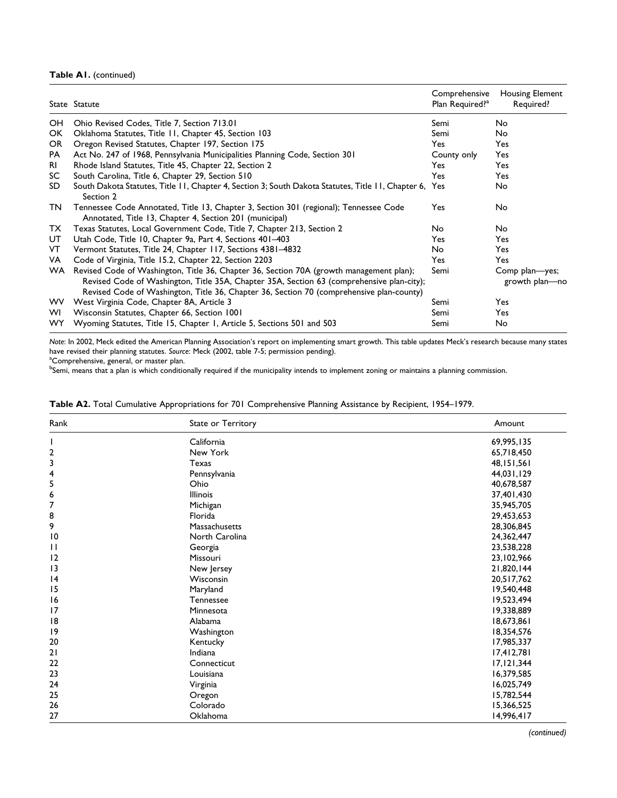Table A1. (continued)

|     | State Statute                                                                                                                                                                        | Comprehensive<br>Plan Required? <sup>a</sup> | Housing Element<br>Required?     |
|-----|--------------------------------------------------------------------------------------------------------------------------------------------------------------------------------------|----------------------------------------------|----------------------------------|
| OH  | Ohio Revised Codes, Title 7, Section 713.01                                                                                                                                          | Semi                                         | No.                              |
| OK. | Oklahoma Statutes, Title 11, Chapter 45, Section 103                                                                                                                                 | Semi                                         | No.                              |
| OR. | Oregon Revised Statutes, Chapter 197, Section 175                                                                                                                                    | Yes                                          | Yes                              |
| PA  | Act No. 247 of 1968, Pennsylvania Municipalities Planning Code, Section 301                                                                                                          | County only                                  | Yes                              |
| RI. | Rhode Island Statutes, Title 45, Chapter 22, Section 2                                                                                                                               | Yes.                                         | Yes                              |
| SC  | South Carolina, Title 6, Chapter 29, Section 510                                                                                                                                     | Yes.                                         | Yes                              |
| SD. | South Dakota Statutes, Title 11, Chapter 4, Section 3; South Dakota Statutes, Title 11, Chapter 6,<br>Section 2                                                                      | Yes                                          | No.                              |
| TN. | Tennessee Code Annotated, Title 13, Chapter 3, Section 301 (regional); Tennessee Code<br>Annotated, Title 13, Chapter 4, Section 201 (municipal)                                     | Yes                                          | No.                              |
| TX. | Texas Statutes, Local Government Code, Title 7, Chapter 213, Section 2                                                                                                               | No.                                          | No.                              |
| UT  | Utah Code, Title 10, Chapter 9a, Part 4, Sections 401-403                                                                                                                            | Yes                                          | Yes                              |
| VT. | Vermont Statutes, Title 24, Chapter 117, Sections 4381-4832                                                                                                                          | No.                                          | Yes                              |
| VA. | Code of Virginia, Title 15.2, Chapter 22, Section 2203                                                                                                                               | Yes.                                         | Yes                              |
| WA. | Revised Code of Washington, Title 36, Chapter 36, Section 70A (growth management plan);<br>Revised Code of Washington, Title 35A, Chapter 35A, Section 63 (comprehensive plan-city); | Semi                                         | Comp plan-yes;<br>growth plan-no |
|     | Revised Code of Washington, Title 36, Chapter 36, Section 70 (comprehensive plan-county)                                                                                             |                                              |                                  |
| WV. | West Virginia Code, Chapter 8A, Article 3                                                                                                                                            | Semi                                         | Yes.                             |
| WI  | Wisconsin Statutes, Chapter 66, Section 1001                                                                                                                                         | Semi                                         | Yes                              |
|     | WY Wyoming Statutes, Title 15, Chapter 1, Article 5, Sections 501 and 503                                                                                                            | Semi                                         | No.                              |

Note: In 2002, Meck edited the American Planning Association's report on implementing smart growth. This table updates Meck's research because many states have revised their planning statutes. Source: Meck (2002, table 7-5; permission pending).

<sup>a</sup>Comprehensive, general, or master plan.

<sup>b</sup>Semi, means that a plan is which conditionally required if the municipality intends to implement zoning or maintains a planning commission.

| Rank            | State or Territory | Amount       |
|-----------------|--------------------|--------------|
| -1              | California         | 69,995,135   |
| 2               | New York           | 65,718,450   |
| 3               | Texas              | 48, 151, 561 |
| 4               | Pennsylvania       | 44,031,129   |
| 5               | Ohio               | 40,678,587   |
| 6               | <b>Illinois</b>    | 37,401,430   |
| 7               | Michigan           | 35,945,705   |
| 8               | Florida            | 29,453,653   |
| 9               | Massachusetts      | 28,306,845   |
| $\overline{10}$ | North Carolina     | 24,362,447   |
| $\mathbf{H}$    | Georgia            | 23,538,228   |
| 12              | Missouri           | 23,102,966   |
| 13              | New Jersey         | 21,820,144   |
| $\overline{14}$ | Wisconsin          | 20,517,762   |
| 15              | Maryland           | 19,540,448   |
| 16              | Tennessee          | 19,523,494   |
| 17              | Minnesota          | 19,338,889   |
| 8               | Alabama            | 18,673,861   |
| 9               | Washington         | 18,354,576   |
| 20              | Kentucky           | 17,985,337   |
| 21              | Indiana            | 17,412,781   |
| 22              | Connecticut        | 17,121,344   |
| 23              | Louisiana          | 16,379,585   |
| 24              | Virginia           | 16,025,749   |
| 25              | Oregon             | 15,782,544   |
| 26              | Colorado           | 15,366,525   |
| 27              | Oklahoma           | 14,996,417   |

Table A2. Total Cumulative Appropriations for 701 Comprehensive Planning Assistance by Recipient, 1954–1979.

(continued)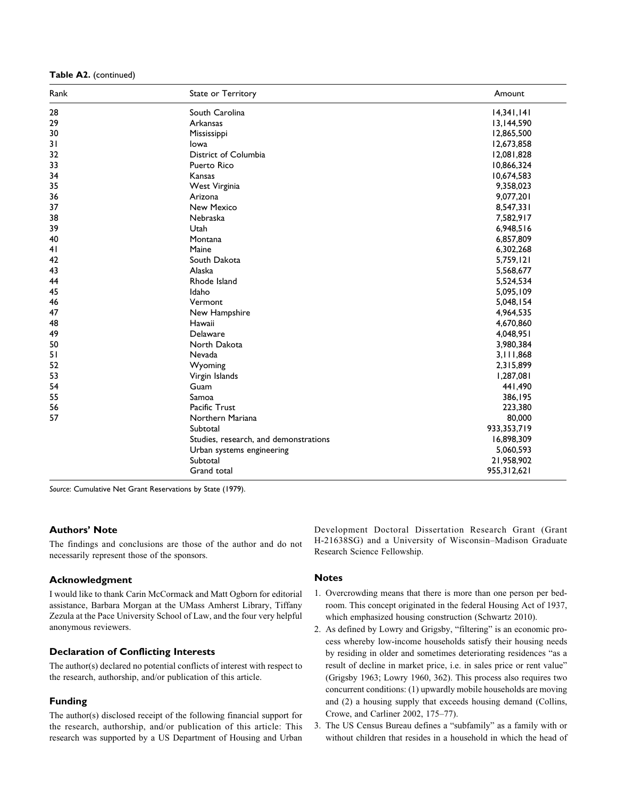| Table A2. (continued) |  |
|-----------------------|--|
|-----------------------|--|

| Rank | State or Territory                    | Amount      |
|------|---------------------------------------|-------------|
| 28   | South Carolina                        | 14,341,141  |
| 29   | Arkansas                              | 13,144,590  |
| 30   | Mississippi                           | 12,865,500  |
| 31   | lowa                                  | 12,673,858  |
| 32   | District of Columbia                  | 12,081,828  |
| 33   | Puerto Rico                           | 10,866,324  |
| 34   | Kansas                                | 10,674,583  |
| 35   | West Virginia                         | 9,358,023   |
| 36   | Arizona                               | 9,077,201   |
| 37   | <b>New Mexico</b>                     | 8,547,331   |
| 38   | Nebraska                              | 7,582,917   |
| 39   | Utah                                  | 6,948,516   |
| 40   | Montana                               | 6,857,809   |
| 41   | Maine                                 | 6,302,268   |
| 42   | South Dakota                          | 5,759,121   |
| 43   | Alaska                                | 5,568,677   |
| 44   | Rhode Island                          | 5,524,534   |
| 45   | Idaho                                 | 5,095,109   |
| 46   | Vermont                               | 5,048,154   |
| 47   | New Hampshire                         | 4,964,535   |
| 48   | Hawaii                                | 4,670,860   |
| 49   | Delaware                              | 4,048,951   |
| 50   | North Dakota                          | 3,980,384   |
| 51   | Nevada                                | 3,111,868   |
| 52   | Wyoming                               | 2,315,899   |
| 53   | Virgin Islands                        | 1,287,081   |
| 54   | Guam                                  | 441,490     |
| 55   | Samoa                                 | 386,195     |
| 56   | Pacific Trust                         | 223,380     |
| 57   | Northern Mariana                      | 80,000      |
|      | Subtotal                              | 933,353,719 |
|      | Studies, research, and demonstrations | 16,898,309  |
|      | Urban systems engineering             | 5,060,593   |
|      | Subtotal                              | 21,958,902  |
|      | Grand total                           | 955,312,621 |

Source: Cumulative Net Grant Reservations by State (1979).

#### Authors' Note

The findings and conclusions are those of the author and do not necessarily represent those of the sponsors.

#### Acknowledgment

I would like to thank Carin McCormack and Matt Ogborn for editorial assistance, Barbara Morgan at the UMass Amherst Library, Tiffany Zezula at the Pace University School of Law, and the four very helpful anonymous reviewers.

#### Declaration of Conflicting Interests

The author(s) declared no potential conflicts of interest with respect to the research, authorship, and/or publication of this article.

#### Funding

The author(s) disclosed receipt of the following financial support for the research, authorship, and/or publication of this article: This research was supported by a US Department of Housing and Urban Development Doctoral Dissertation Research Grant (Grant H-21638SG) and a University of Wisconsin–Madison Graduate Research Science Fellowship.

#### **Notes**

- 1. Overcrowding means that there is more than one person per bedroom. This concept originated in the federal Housing Act of 1937, which emphasized housing construction (Schwartz 2010).
- 2. As defined by Lowry and Grigsby, "filtering" is an economic process whereby low-income households satisfy their housing needs by residing in older and sometimes deteriorating residences "as a result of decline in market price, i.e. in sales price or rent value" (Grigsby 1963; Lowry 1960, 362). This process also requires two concurrent conditions: (1) upwardly mobile households are moving and (2) a housing supply that exceeds housing demand (Collins, Crowe, and Carliner 2002, 175–77).
- 3. The US Census Bureau defines a "subfamily" as a family with or without children that resides in a household in which the head of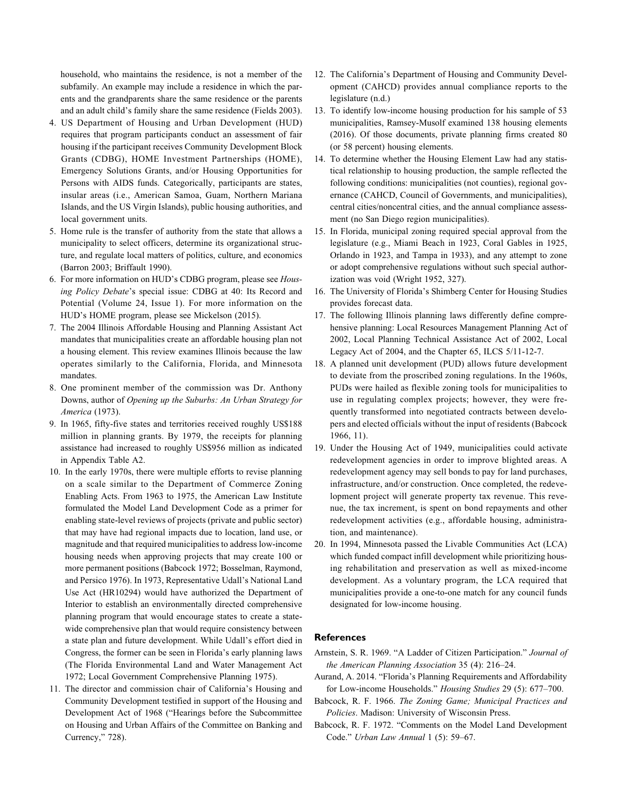household, who maintains the residence, is not a member of the subfamily. An example may include a residence in which the parents and the grandparents share the same residence or the parents and an adult child's family share the same residence (Fields 2003).

- 4. US Department of Housing and Urban Development (HUD) requires that program participants conduct an assessment of fair housing if the participant receives Community Development Block Grants (CDBG), HOME Investment Partnerships (HOME), Emergency Solutions Grants, and/or Housing Opportunities for Persons with AIDS funds. Categorically, participants are states, insular areas (i.e., American Samoa, Guam, Northern Mariana Islands, and the US Virgin Islands), public housing authorities, and local government units.
- 5. Home rule is the transfer of authority from the state that allows a municipality to select officers, determine its organizational structure, and regulate local matters of politics, culture, and economics (Barron 2003; Briffault 1990).
- 6. For more information on HUD's CDBG program, please see Housing Policy Debate's special issue: CDBG at 40: Its Record and Potential (Volume 24, Issue 1). For more information on the HUD's HOME program, please see Mickelson (2015).
- 7. The 2004 Illinois Affordable Housing and Planning Assistant Act mandates that municipalities create an affordable housing plan not a housing element. This review examines Illinois because the law operates similarly to the California, Florida, and Minnesota mandates.
- 8. One prominent member of the commission was Dr. Anthony Downs, author of Opening up the Suburbs: An Urban Strategy for America (1973).
- 9. In 1965, fifty-five states and territories received roughly US\$188 million in planning grants. By 1979, the receipts for planning assistance had increased to roughly US\$956 million as indicated in Appendix Table A2.
- 10. In the early 1970s, there were multiple efforts to revise planning on a scale similar to the Department of Commerce Zoning Enabling Acts. From 1963 to 1975, the American Law Institute formulated the Model Land Development Code as a primer for enabling state-level reviews of projects (private and public sector) that may have had regional impacts due to location, land use, or magnitude and that required municipalities to address low-income housing needs when approving projects that may create 100 or more permanent positions (Babcock 1972; Bosselman, Raymond, and Persico 1976). In 1973, Representative Udall's National Land Use Act (HR10294) would have authorized the Department of Interior to establish an environmentally directed comprehensive planning program that would encourage states to create a statewide comprehensive plan that would require consistency between a state plan and future development. While Udall's effort died in Congress, the former can be seen in Florida's early planning laws (The Florida Environmental Land and Water Management Act 1972; Local Government Comprehensive Planning 1975).
- 11. The director and commission chair of California's Housing and Community Development testified in support of the Housing and Development Act of 1968 ("Hearings before the Subcommittee on Housing and Urban Affairs of the Committee on Banking and Currency," 728).
- 12. The California's Department of Housing and Community Development (CAHCD) provides annual compliance reports to the legislature (n.d.)
- 13. To identify low-income housing production for his sample of 53 municipalities, Ramsey-Musolf examined 138 housing elements (2016). Of those documents, private planning firms created 80 (or 58 percent) housing elements.
- 14. To determine whether the Housing Element Law had any statistical relationship to housing production, the sample reflected the following conditions: municipalities (not counties), regional governance (CAHCD, Council of Governments, and municipalities), central cities/noncentral cities, and the annual compliance assessment (no San Diego region municipalities).
- 15. In Florida, municipal zoning required special approval from the legislature (e.g., Miami Beach in 1923, Coral Gables in 1925, Orlando in 1923, and Tampa in 1933), and any attempt to zone or adopt comprehensive regulations without such special authorization was void (Wright 1952, 327).
- 16. The University of Florida's Shimberg Center for Housing Studies provides forecast data.
- 17. The following Illinois planning laws differently define comprehensive planning: Local Resources Management Planning Act of 2002, Local Planning Technical Assistance Act of 2002, Local Legacy Act of 2004, and the Chapter 65, ILCS 5/11-12-7.
- 18. A planned unit development (PUD) allows future development to deviate from the proscribed zoning regulations. In the 1960s, PUDs were hailed as flexible zoning tools for municipalities to use in regulating complex projects; however, they were frequently transformed into negotiated contracts between developers and elected officials without the input of residents (Babcock 1966, 11).
- 19. Under the Housing Act of 1949, municipalities could activate redevelopment agencies in order to improve blighted areas. A redevelopment agency may sell bonds to pay for land purchases, infrastructure, and/or construction. Once completed, the redevelopment project will generate property tax revenue. This revenue, the tax increment, is spent on bond repayments and other redevelopment activities (e.g., affordable housing, administration, and maintenance).
- 20. In 1994, Minnesota passed the Livable Communities Act (LCA) which funded compact infill development while prioritizing housing rehabilitation and preservation as well as mixed-income development. As a voluntary program, the LCA required that municipalities provide a one-to-one match for any council funds designated for low-income housing.

#### References

- Arnstein, S. R. 1969. "A Ladder of Citizen Participation." Journal of the American Planning Association 35 (4): 216–24.
- Aurand, A. 2014. "Florida's Planning Requirements and Affordability for Low-income Households." Housing Studies 29 (5): 677–700.
- Babcock, R. F. 1966. The Zoning Game; Municipal Practices and Policies. Madison: University of Wisconsin Press.
- Babcock, R. F. 1972. "Comments on the Model Land Development Code." Urban Law Annual 1 (5): 59–67.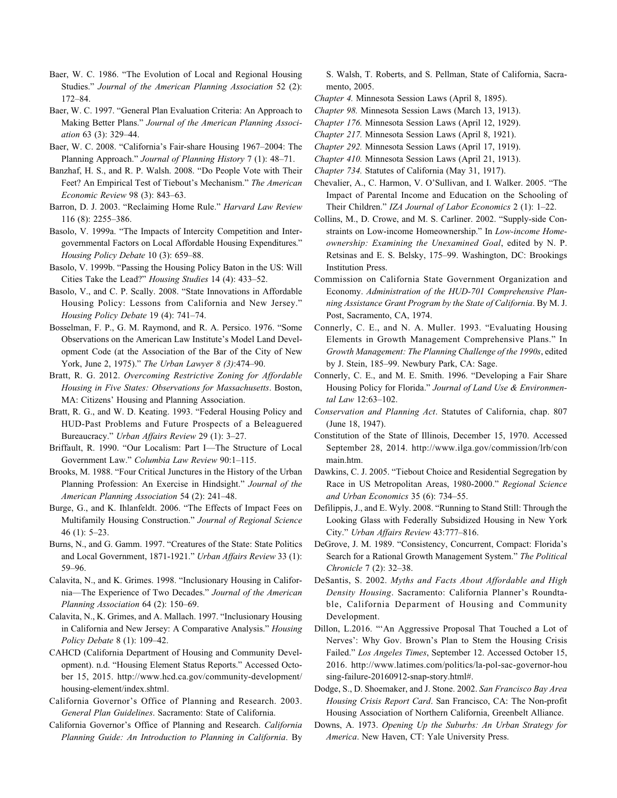Baer, W. C. 1986. "The Evolution of Local and Regional Housing Studies." Journal of the American Planning Association 52 (2): 172–84.

Baer, W. C. 1997. "General Plan Evaluation Criteria: An Approach to Making Better Plans." Journal of the American Planning Association 63 (3): 329–44.

- Baer, W. C. 2008. "California's Fair-share Housing 1967–2004: The Planning Approach." Journal of Planning History 7 (1): 48–71.
- Banzhaf, H. S., and R. P. Walsh. 2008. "Do People Vote with Their Feet? An Empirical Test of Tiebout's Mechanism." The American Economic Review 98 (3): 843–63.
- Barron, D. J. 2003. "Reclaiming Home Rule." Harvard Law Review 116 (8): 2255–386.
- Basolo, V. 1999a. "The Impacts of Intercity Competition and Intergovernmental Factors on Local Affordable Housing Expenditures." Housing Policy Debate 10 (3): 659–88.
- Basolo, V. 1999b. "Passing the Housing Policy Baton in the US: Will Cities Take the Lead?" Housing Studies 14 (4): 433–52.
- Basolo, V., and C. P. Scally. 2008. "State Innovations in Affordable Housing Policy: Lessons from California and New Jersey." Housing Policy Debate 19 (4): 741–74.
- Bosselman, F. P., G. M. Raymond, and R. A. Persico. 1976. "Some Observations on the American Law Institute's Model Land Development Code (at the Association of the Bar of the City of New York, June 2, 1975)." The Urban Lawyer 8 (3):474–90.
- Bratt, R. G. 2012. Overcoming Restrictive Zoning for Affordable Housing in Five States: Observations for Massachusetts. Boston, MA: Citizens' Housing and Planning Association.
- Bratt, R. G., and W. D. Keating. 1993. "Federal Housing Policy and HUD-Past Problems and Future Prospects of a Beleaguered Bureaucracy." Urban Affairs Review 29 (1): 3–27.
- Briffault, R. 1990. "Our Localism: Part I—The Structure of Local Government Law." Columbia Law Review 90:1–115.
- Brooks, M. 1988. "Four Critical Junctures in the History of the Urban Planning Profession: An Exercise in Hindsight." Journal of the American Planning Association 54 (2): 241–48.
- Burge, G., and K. Ihlanfeldt. 2006. "The Effects of Impact Fees on Multifamily Housing Construction." Journal of Regional Science 46 (1): 5–23.
- Burns, N., and G. Gamm. 1997. "Creatures of the State: State Politics and Local Government, 1871-1921." Urban Affairs Review 33 (1): 59–96.
- Calavita, N., and K. Grimes. 1998. "Inclusionary Housing in California—The Experience of Two Decades." Journal of the American Planning Association 64 (2): 150–69.
- Calavita, N., K. Grimes, and A. Mallach. 1997. "Inclusionary Housing in California and New Jersey: A Comparative Analysis." Housing Policy Debate 8 (1): 109–42.
- CAHCD (California Department of Housing and Community Development). n.d. "Housing Element Status Reports." Accessed October 15, 2015. [http://www.hcd.ca.gov/community-development/](http://www.hcd.ca.gov/community-development/housing-element/index.shtml) [housing-element/index.shtml.](http://www.hcd.ca.gov/community-development/housing-element/index.shtml)
- California Governor's Office of Planning and Research. 2003. General Plan Guidelines. Sacramento: State of California.
- California Governor's Office of Planning and Research. California Planning Guide: An Introduction to Planning in California. By

S. Walsh, T. Roberts, and S. Pellman, State of California, Sacramento, 2005.

- Chapter 98. Minnesota Session Laws (March 13, 1913).
- Chapter 176. Minnesota Session Laws (April 12, 1929).
- Chapter 217. Minnesota Session Laws (April 8, 1921).
- Chapter 292. Minnesota Session Laws (April 17, 1919).
- Chapter 410. Minnesota Session Laws (April 21, 1913).
- Chapter 734. Statutes of California (May 31, 1917).
- Chevalier, A., C. Harmon, V. O'Sullivan, and I. Walker. 2005. "The Impact of Parental Income and Education on the Schooling of Their Children." IZA Journal of Labor Economics 2 (1): 1–22.
- Collins, M., D. Crowe, and M. S. Carliner. 2002. "Supply-side Constraints on Low-income Homeownership." In Low-income Homeownership: Examining the Unexamined Goal, edited by N. P. Retsinas and E. S. Belsky, 175–99. Washington, DC: Brookings Institution Press.
- Commission on California State Government Organization and Economy. Administration of the HUD-701 Comprehensive Planning Assistance Grant Program by the State of California. By M. J. Post, Sacramento, CA, 1974.
- Connerly, C. E., and N. A. Muller. 1993. "Evaluating Housing Elements in Growth Management Comprehensive Plans." In Growth Management: The Planning Challenge of the 1990s, edited by J. Stein, 185–99. Newbury Park, CA: Sage.
- Connerly, C. E., and M. E. Smith. 1996. "Developing a Fair Share Housing Policy for Florida." Journal of Land Use & Environmental Law 12:63–102.
- Conservation and Planning Act. Statutes of California, chap. 807 (June 18, 1947).
- Constitution of the State of Illinois, December 15, 1970. Accessed September 28, 2014. [http://www.ilga.gov/commission/lrb/con](http://www.ilga.gov/commission/lrb/conmain.htm) [main.htm](http://www.ilga.gov/commission/lrb/conmain.htm).
- Dawkins, C. J. 2005. "Tiebout Choice and Residential Segregation by Race in US Metropolitan Areas, 1980-2000." Regional Science and Urban Economics 35 (6): 734–55.
- Defilippis, J., and E. Wyly. 2008. "Running to Stand Still: Through the Looking Glass with Federally Subsidized Housing in New York City." Urban Affairs Review 43:777–816.
- DeGrove, J. M. 1989. "Consistency, Concurrent, Compact: Florida's Search for a Rational Growth Management System." The Political Chronicle 7 (2): 32–38.
- DeSantis, S. 2002. Myths and Facts About Affordable and High Density Housing. Sacramento: California Planner's Roundtable, California Deparment of Housing and Community Development.
- Dillon, L.2016. "'An Aggressive Proposal That Touched a Lot of Nerves': Why Gov. Brown's Plan to Stem the Housing Crisis Failed." Los Angeles Times, September 12. Accessed October 15, 2016. [http://www.latimes.com/politics/la-pol-sac-governor-hou](http://www.latimes.com/politics/la-pol-sac-governor-housing-failure-20160912-snap-story.html#) [sing-failure-20160912-snap-story.html#.](http://www.latimes.com/politics/la-pol-sac-governor-housing-failure-20160912-snap-story.html#)
- Dodge, S., D. Shoemaker, and J. Stone. 2002. San Francisco Bay Area Housing Crisis Report Card. San Francisco, CA: The Non-profit Housing Association of Northern California, Greenbelt Alliance.
- Downs, A. 1973. Opening Up the Suburbs: An Urban Strategy for America. New Haven, CT: Yale University Press.

Chapter 4. Minnesota Session Laws (April 8, 1895).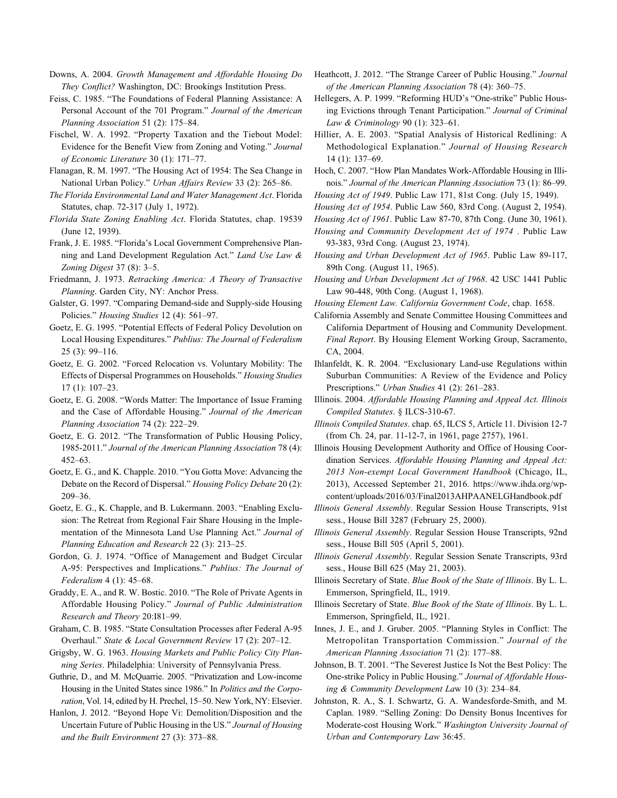- Downs, A. 2004. Growth Management and Affordable Housing Do They Conflict? Washington, DC: Brookings Institution Press.
- Feiss, C. 1985. "The Foundations of Federal Planning Assistance: A Personal Account of the 701 Program." Journal of the American Planning Association 51 (2): 175–84.
- Fischel, W. A. 1992. "Property Taxation and the Tiebout Model: Evidence for the Benefit View from Zoning and Voting." Journal of Economic Literature 30 (1): 171–77.
- Flanagan, R. M. 1997. "The Housing Act of 1954: The Sea Change in National Urban Policy." Urban Affairs Review 33 (2): 265–86.
- The Florida Environmental Land and Water Management Act. Florida Statutes, chap. 72-317 (July 1, 1972).
- Florida State Zoning Enabling Act. Florida Statutes, chap. 19539 (June 12, 1939).
- Frank, J. E. 1985. "Florida's Local Government Comprehensive Planning and Land Development Regulation Act." Land Use Law & Zoning Digest 37 (8): 3–5.
- Friedmann, J. 1973. Retracking America: A Theory of Transactive Planning. Garden City, NY: Anchor Press.
- Galster, G. 1997. "Comparing Demand-side and Supply-side Housing Policies." Housing Studies 12 (4): 561–97.
- Goetz, E. G. 1995. "Potential Effects of Federal Policy Devolution on Local Housing Expenditures." Publius: The Journal of Federalism 25 (3): 99–116.
- Goetz, E. G. 2002. "Forced Relocation vs. Voluntary Mobility: The Effects of Dispersal Programmes on Households." Housing Studies 17 (1): 107–23.
- Goetz, E. G. 2008. "Words Matter: The Importance of Issue Framing and the Case of Affordable Housing." Journal of the American Planning Association 74 (2): 222–29.
- Goetz, E. G. 2012. "The Transformation of Public Housing Policy, 1985-2011." Journal of the American Planning Association 78 (4): 452–63.
- Goetz, E. G., and K. Chapple. 2010. "You Gotta Move: Advancing the Debate on the Record of Dispersal." Housing Policy Debate 20 (2): 209–36.
- Goetz, E. G., K. Chapple, and B. Lukermann. 2003. "Enabling Exclusion: The Retreat from Regional Fair Share Housing in the Implementation of the Minnesota Land Use Planning Act." Journal of Planning Education and Research 22 (3): 213–25.
- Gordon, G. J. 1974. "Office of Management and Budget Circular A-95: Perspectives and Implications." Publius: The Journal of Federalism 4 (1): 45–68.
- Graddy, E. A., and R. W. Bostic. 2010. "The Role of Private Agents in Affordable Housing Policy." Journal of Public Administration Research and Theory 20:I81–99.
- Graham, C. B. 1985. "State Consultation Processes after Federal A-95 Overhaul." State & Local Government Review 17 (2): 207–12.
- Grigsby, W. G. 1963. Housing Markets and Public Policy City Planning Series. Philadelphia: University of Pennsylvania Press.
- Guthrie, D., and M. McQuarrie. 2005. "Privatization and Low-income Housing in the United States since 1986." In Politics and the Corporation, Vol. 14, edited by H. Prechel, 15–50. New York, NY: Elsevier.
- Hanlon, J. 2012. "Beyond Hope Vi: Demolition/Disposition and the Uncertain Future of Public Housing in the US." Journal of Housing and the Built Environment 27 (3): 373–88.
- Heathcott, J. 2012. "The Strange Career of Public Housing." Journal of the American Planning Association 78 (4): 360–75.
- Hellegers, A. P. 1999. "Reforming HUD's "One-strike" Public Housing Evictions through Tenant Participation." Journal of Criminal Law & Criminology 90 (1): 323–61.
- Hillier, A. E. 2003. "Spatial Analysis of Historical Redlining: A Methodological Explanation." Journal of Housing Research 14 (1): 137–69.
- Hoch, C. 2007. "How Plan Mandates Work-Affordable Housing in Illinois." Journal of the American Planning Association 73 (1): 86–99.
- Housing Act of 1949. Public Law 171, 81st Cong. (July 15, 1949). Housing Act of 1954. Public Law 560, 83rd Cong. (August 2, 1954).
- Housing Act of 1961. Public Law 87-70, 87th Cong. (June 30, 1961).
- Housing and Community Development Act of 1974 . Public Law 93-383, 93rd Cong. (August 23, 1974).
- Housing and Urban Development Act of 1965. Public Law 89-117, 89th Cong. (August 11, 1965).
- Housing and Urban Development Act of 1968. 42 USC 1441 Public Law 90-448, 90th Cong. (August 1, 1968).
- Housing Element Law. California Government Code, chap. 1658.
- California Assembly and Senate Committee Housing Committees and California Department of Housing and Community Development. Final Report. By Housing Element Working Group, Sacramento, CA, 2004.
- Ihlanfeldt, K. R. 2004. "Exclusionary Land-use Regulations within Suburban Communities: A Review of the Evidence and Policy Prescriptions." Urban Studies 41 (2): 261-283.
- Illinois. 2004. Affordable Housing Planning and Appeal Act. Illinois Compiled Statutes. § ILCS-310-67.
- Illinois Compiled Statutes. chap. 65, ILCS 5, Article 11. Division 12-7 (from Ch. 24, par. 11-12-7, in 1961, page 2757), 1961.
- Illinois Housing Development Authority and Office of Housing Coordination Services. Affordable Housing Planning and Appeal Act: 2013 Non-exempt Local Government Handbook (Chicago, IL, 2013), Accessed September 21, 2016. [https://www.ihda.org/wp](https://www.ihda.org/wp-content/uploads/2016/03/Final2013AHPAANELGHandbook.pdf)[content/uploads/2016/03/Final2013AHPAANELGHandbook.pdf](https://www.ihda.org/wp-content/uploads/2016/03/Final2013AHPAANELGHandbook.pdf)
- Illinois General Assembly. Regular Session House Transcripts, 91st sess., House Bill 3287 (February 25, 2000).
- Illinois General Assembly. Regular Session House Transcripts, 92nd sess., House Bill 505 (April 5, 2001).
- Illinois General Assembly. Regular Session Senate Transcripts, 93rd sess., House Bill 625 (May 21, 2003).
- Illinois Secretary of State. Blue Book of the State of Illinois. By L. L. Emmerson, Springfield, IL, 1919.
- Illinois Secretary of State. Blue Book of the State of Illinois. By L. L. Emmerson, Springfield, IL, 1921.
- Innes, J. E., and J. Gruber. 2005. "Planning Styles in Conflict: The Metropolitan Transportation Commission." Journal of the American Planning Association 71 (2): 177–88.
- Johnson, B. T. 2001. "The Severest Justice Is Not the Best Policy: The One-strike Policy in Public Housing." Journal of Affordable Housing & Community Development Law 10 (3): 234–84.
- Johnston, R. A., S. I. Schwartz, G. A. Wandesforde-Smith, and M. Caplan. 1989. "Selling Zoning: Do Density Bonus Incentives for Moderate-cost Housing Work." Washington University Journal of Urban and Contemporary Law 36:45.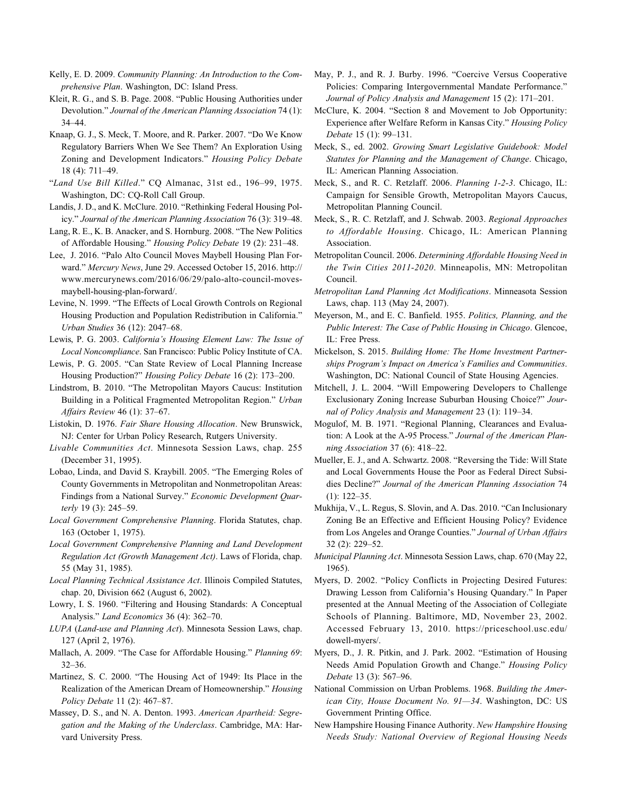- Kelly, E. D. 2009. Community Planning: An Introduction to the Comprehensive Plan. Washington, DC: Island Press.
- Kleit, R. G., and S. B. Page. 2008. "Public Housing Authorities under Devolution." Journal of the American Planning Association 74 (1): 34–44.
- Knaap, G. J., S. Meck, T. Moore, and R. Parker. 2007. "Do We Know Regulatory Barriers When We See Them? An Exploration Using Zoning and Development Indicators." Housing Policy Debate 18 (4): 711–49.
- "Land Use Bill Killed." CQ Almanac, 31st ed., 196–99, 1975. Washington, DC: CQ-Roll Call Group.
- Landis, J. D., and K. McClure. 2010. "Rethinking Federal Housing Policy." Journal of the American Planning Association 76 (3): 319–48.
- Lang, R. E., K. B. Anacker, and S. Hornburg. 2008. "The New Politics of Affordable Housing." Housing Policy Debate 19 (2): 231–48.
- Lee, J. 2016. "Palo Alto Council Moves Maybell Housing Plan Forward." Mercury News, June 29. Accessed October 15, 2016. [http://](http://www.mercurynews.com/2016/06/29/palo-alto-council-moves-maybell-housing-plan-forward/) [www.mercurynews.com/2016/06/29/palo-alto-council-moves](http://www.mercurynews.com/2016/06/29/palo-alto-council-moves-maybell-housing-plan-forward/)[maybell-housing-plan-forward/.](http://www.mercurynews.com/2016/06/29/palo-alto-council-moves-maybell-housing-plan-forward/)
- Levine, N. 1999. "The Effects of Local Growth Controls on Regional Housing Production and Population Redistribution in California." Urban Studies 36 (12): 2047–68.
- Lewis, P. G. 2003. California's Housing Element Law: The Issue of Local Noncompliance. San Francisco: Public Policy Institute of CA.
- Lewis, P. G. 2005. "Can State Review of Local Planning Increase Housing Production?" Housing Policy Debate 16 (2): 173–200.
- Lindstrom, B. 2010. "The Metropolitan Mayors Caucus: Institution Building in a Political Fragmented Metropolitan Region." Urban Affairs Review 46 (1): 37–67.
- Listokin, D. 1976. Fair Share Housing Allocation. New Brunswick, NJ: Center for Urban Policy Research, Rutgers University.
- Livable Communities Act. Minnesota Session Laws, chap. 255 (December 31, 1995).
- Lobao, Linda, and David S. Kraybill. 2005. "The Emerging Roles of County Governments in Metropolitan and Nonmetropolitan Areas: Findings from a National Survey." Economic Development Quarterly 19 (3): 245–59.
- Local Government Comprehensive Planning. Florida Statutes, chap. 163 (October 1, 1975).
- Local Government Comprehensive Planning and Land Development Regulation Act (Growth Management Act). Laws of Florida, chap. 55 (May 31, 1985).
- Local Planning Technical Assistance Act. Illinois Compiled Statutes, chap. 20, Division 662 (August 6, 2002).
- Lowry, I. S. 1960. "Filtering and Housing Standards: A Conceptual Analysis." Land Economics 36 (4): 362–70.
- LUPA (Land-use and Planning Act). Minnesota Session Laws, chap. 127 (April 2, 1976).
- Mallach, A. 2009. "The Case for Affordable Housing." Planning 69: 32–36.
- Martinez, S. C. 2000. "The Housing Act of 1949: Its Place in the Realization of the American Dream of Homeownership." Housing Policy Debate 11 (2): 467–87.
- Massey, D. S., and N. A. Denton. 1993. American Apartheid: Segregation and the Making of the Underclass. Cambridge, MA: Harvard University Press.
- May, P. J., and R. J. Burby. 1996. "Coercive Versus Cooperative Policies: Comparing Intergovernmental Mandate Performance." Journal of Policy Analysis and Management 15 (2): 171–201.
- McClure, K. 2004. "Section 8 and Movement to Job Opportunity: Experience after Welfare Reform in Kansas City." Housing Policy Debate 15 (1): 99–131.
- Meck, S., ed. 2002. Growing Smart Legislative Guidebook: Model Statutes for Planning and the Management of Change. Chicago, IL: American Planning Association.
- Meck, S., and R. C. Retzlaff. 2006. Planning 1-2-3. Chicago, IL: Campaign for Sensible Growth, Metropolitan Mayors Caucus, Metropolitan Planning Council.
- Meck, S., R. C. Retzlaff, and J. Schwab. 2003. Regional Approaches to Affordable Housing. Chicago, IL: American Planning Association.
- Metropolitan Council. 2006. Determining Affordable Housing Need in the Twin Cities 2011-2020. Minneapolis, MN: Metropolitan Council.
- Metropolitan Land Planning Act Modifications. Minneasota Session Laws, chap. 113 (May 24, 2007).
- Meyerson, M., and E. C. Banfield. 1955. Politics, Planning, and the Public Interest: The Case of Public Housing in Chicago. Glencoe, IL: Free Press.
- Mickelson, S. 2015. Building Home: The Home Investment Partnerships Program's Impact on America's Families and Communities. Washington, DC: National Council of State Housing Agencies.
- Mitchell, J. L. 2004. "Will Empowering Developers to Challenge Exclusionary Zoning Increase Suburban Housing Choice?" Journal of Policy Analysis and Management 23 (1): 119–34.
- Mogulof, M. B. 1971. "Regional Planning, Clearances and Evaluation: A Look at the A-95 Process." Journal of the American Planning Association 37 (6): 418–22.
- Mueller, E. J., and A. Schwartz. 2008. "Reversing the Tide: Will State and Local Governments House the Poor as Federal Direct Subsidies Decline?" Journal of the American Planning Association 74 (1): 122–35.
- Mukhija, V., L. Regus, S. Slovin, and A. Das. 2010. "Can Inclusionary Zoning Be an Effective and Efficient Housing Policy? Evidence from Los Angeles and Orange Counties." Journal of Urban Affairs 32 (2): 229–52.
- Municipal Planning Act. Minnesota Session Laws, chap. 670 (May 22, 1965).
- Myers, D. 2002. "Policy Conflicts in Projecting Desired Futures: Drawing Lesson from California's Housing Quandary." In Paper presented at the Annual Meeting of the Association of Collegiate Schools of Planning. Baltimore, MD, November 23, 2002. Accessed February 13, 2010. [https://priceschool.usc.edu/](https://priceschool.usc.edu/dowell-myers/) [dowell-myers/.](https://priceschool.usc.edu/dowell-myers/)
- Myers, D., J. R. Pitkin, and J. Park. 2002. "Estimation of Housing Needs Amid Population Growth and Change." Housing Policy Debate 13 (3): 567–96.
- National Commission on Urban Problems. 1968. Building the American City, House Document No. 91—34. Washington, DC: US Government Printing Office.
- New Hampshire Housing Finance Authority. New Hampshire Housing Needs Study: National Overview of Regional Housing Needs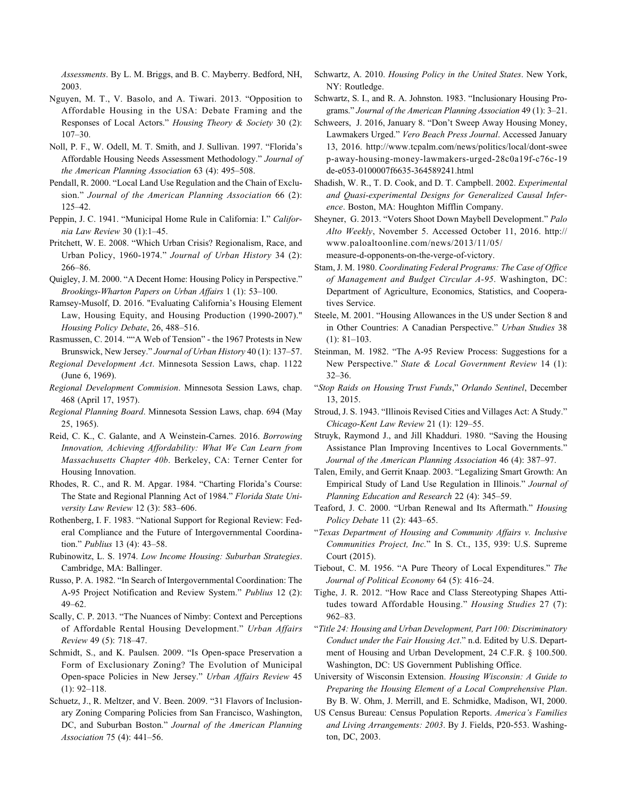Assessments. By L. M. Briggs, and B. C. Mayberry. Bedford, NH, 2003.

- Nguyen, M. T., V. Basolo, and A. Tiwari. 2013. "Opposition to Affordable Housing in the USA: Debate Framing and the Responses of Local Actors." Housing Theory & Society 30 (2): 107–30.
- Noll, P. F., W. Odell, M. T. Smith, and J. Sullivan. 1997. "Florida's Affordable Housing Needs Assessment Methodology." Journal of the American Planning Association 63 (4): 495–508.
- Pendall, R. 2000. "Local Land Use Regulation and the Chain of Exclusion." Journal of the American Planning Association 66 (2): 125–42.
- Peppin, J. C. 1941. "Municipal Home Rule in California: I." California Law Review 30 (1):1–45.
- Pritchett, W. E. 2008. "Which Urban Crisis? Regionalism, Race, and Urban Policy, 1960-1974." Journal of Urban History 34 (2): 266–86.
- Quigley, J. M. 2000. "A Decent Home: Housing Policy in Perspective." Brookings-Wharton Papers on Urban Affairs 1 (1): 53–100.
- Ramsey-Musolf, D. 2016. "Evaluating California's Housing Element Law, Housing Equity, and Housing Production (1990-2007)." Housing Policy Debate, 26, 488–516.
- Rasmussen, C. 2014. ""A Web of Tension" the 1967 Protests in New Brunswick, New Jersey." Journal of Urban History 40 (1): 137–57.
- Regional Development Act. Minnesota Session Laws, chap. 1122 (June 6, 1969).
- Regional Development Commision. Minnesota Session Laws, chap. 468 (April 17, 1957).
- Regional Planning Board. Minnesota Session Laws, chap. 694 (May 25, 1965).
- Reid, C. K., C. Galante, and A Weinstein-Carnes. 2016. Borrowing Innovation, Achieving Affordability: What We Can Learn from Massachusetts Chapter 40b. Berkeley, CA: Terner Center for Housing Innovation.
- Rhodes, R. C., and R. M. Apgar. 1984. "Charting Florida's Course: The State and Regional Planning Act of 1984." Florida State University Law Review 12 (3): 583–606.
- Rothenberg, I. F. 1983. "National Support for Regional Review: Federal Compliance and the Future of Intergovernmental Coordination." Publius 13 (4): 43–58.
- Rubinowitz, L. S. 1974. Low Income Housing: Suburban Strategies. Cambridge, MA: Ballinger.
- Russo, P. A. 1982. "In Search of Intergovernmental Coordination: The A-95 Project Notification and Review System." Publius 12 (2): 49–62.
- Scally, C. P. 2013. "The Nuances of Nimby: Context and Perceptions of Affordable Rental Housing Development." Urban Affairs Review 49 (5): 718–47.
- Schmidt, S., and K. Paulsen. 2009. "Is Open-space Preservation a Form of Exclusionary Zoning? The Evolution of Municipal Open-space Policies in New Jersey." Urban Affairs Review 45 (1): 92–118.
- Schuetz, J., R. Meltzer, and V. Been. 2009. "31 Flavors of Inclusionary Zoning Comparing Policies from San Francisco, Washington, DC, and Suburban Boston." Journal of the American Planning Association 75 (4): 441–56.
- Schwartz, A. 2010. Housing Policy in the United States. New York, NY: Routledge.
- Schwartz, S. I., and R. A. Johnston. 1983. "Inclusionary Housing Programs." Journal of the American Planning Association 49 (1): 3–21.
- Schweers, J. 2016, January 8. "Don't Sweep Away Housing Money, Lawmakers Urged." Vero Beach Press Journal. Accessed January 13, 2016. [http://www.tcpalm.com/news/politics/local/dont-swee](http://www.tcpalm.com/news/politics/local/dont-sweep-away-housing-money-lawmakers-urged-28c0a19f-c76c-19de-e053-0100007f6635-364589241.html) [p-away-housing-money-lawmakers-urged-28c0a19f-c76c-19](http://www.tcpalm.com/news/politics/local/dont-sweep-away-housing-money-lawmakers-urged-28c0a19f-c76c-19de-e053-0100007f6635-364589241.html) [de-e053-0100007f6635-364589241.html](http://www.tcpalm.com/news/politics/local/dont-sweep-away-housing-money-lawmakers-urged-28c0a19f-c76c-19de-e053-0100007f6635-364589241.html)
- Shadish, W. R., T. D. Cook, and D. T. Campbell. 2002. Experimental and Quasi-experimental Designs for Generalized Causal Inference. Boston, MA: Houghton Mifflin Company.
- Sheyner, G. 2013. "Voters Shoot Down Maybell Development." Palo Alto Weekly, November 5. Accessed October 11, 2016. [http://](http://www.paloaltoonline.com/news/2013/11/05/measure-d-opponents-on-the-verge-of-victory) [www.paloaltoonline.com/news/2013/11/05/](http://www.paloaltoonline.com/news/2013/11/05/measure-d-opponents-on-the-verge-of-victory) [measure-d-opponents-on-the-verge-of-victory](http://www.paloaltoonline.com/news/2013/11/05/measure-d-opponents-on-the-verge-of-victory).
- Stam, J. M. 1980. Coordinating Federal Programs: The Case of Office of Management and Budget Circular A-95. Washington, DC: Department of Agriculture, Economics, Statistics, and Cooperatives Service.
- Steele, M. 2001. "Housing Allowances in the US under Section 8 and in Other Countries: A Canadian Perspective." Urban Studies 38 (1): 81–103.
- Steinman, M. 1982. "The A-95 Review Process: Suggestions for a New Perspective." State & Local Government Review 14 (1): 32–36.
- "Stop Raids on Housing Trust Funds," Orlando Sentinel, December 13, 2015.
- Stroud, J. S. 1943. "Illinois Revised Cities and Villages Act: A Study." Chicago-Kent Law Review 21 (1): 129–55.
- Struyk, Raymond J., and Jill Khadduri. 1980. "Saving the Housing Assistance Plan Improving Incentives to Local Governments." Journal of the American Planning Association 46 (4): 387–97.
- Talen, Emily, and Gerrit Knaap. 2003. "Legalizing Smart Growth: An Empirical Study of Land Use Regulation in Illinois." Journal of Planning Education and Research 22 (4): 345–59.
- Teaford, J. C. 2000. "Urban Renewal and Its Aftermath." Housing Policy Debate 11 (2): 443–65.
- "Texas Department of Housing and Community Affairs v. Inclusive Communities Project, Inc." In S. Ct., 135, 939: U.S. Supreme Court (2015).
- Tiebout, C. M. 1956. "A Pure Theory of Local Expenditures." The Journal of Political Economy 64 (5): 416–24.
- Tighe, J. R. 2012. "How Race and Class Stereotyping Shapes Attitudes toward Affordable Housing." Housing Studies 27 (7): 962–83.
- "Title 24: Housing and Urban Development, Part 100: Discriminatory Conduct under the Fair Housing Act." n.d. Edited by U.S. Department of Housing and Urban Development, 24 C.F.R. § 100.500. Washington, DC: US Government Publishing Office.
- University of Wisconsin Extension. Housing Wisconsin: A Guide to Preparing the Housing Element of a Local Comprehensive Plan. By B. W. Ohm, J. Merrill, and E. Schmidke, Madison, WI, 2000.
- US Census Bureau: Census Population Reports. America's Families and Living Arrangements: 2003. By J. Fields, P20-553. Washington, DC, 2003.